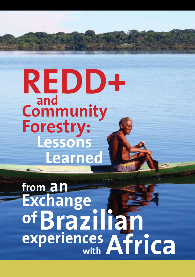**REDD+ and Lessons Learned Community Forestry:**

**with from an of** experiences Africa **Exchange Brazilian**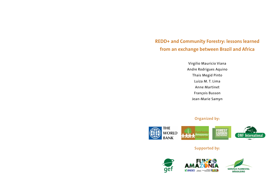**REDD+ and Community Forestry: lessons learned from an exchange between Brazil and Africa**

> Virgilio Mauricio Viana Andre Rodrigues Aquino Thais Megid Pinto Luiza M. T. Lima Anne Martinet François Busson Jean-Marie Samyn

### **Organized by:**



### **Supported by:**

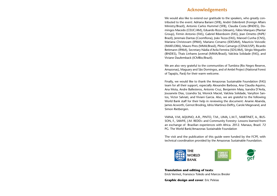### **Acknowledgements**

We would also like to extend our gratitude to the speakers, who greatly contributed to the event: Adriana Bariani (SFB), André Odenbreit (Foreign Affairs Ministry/Brazil), Antonio Carlos Hummel (SFB), Claudia Costa (BNDES), Domingos Macedo (CEUC/AM), Eduardo Rizzo (Idesam), Fábio Marques (Plantar Group), Firmin Antonio (FAS), Gabriel Ribenboim (FAS), Jean Ometto (INPE/ Brazil), Jeremais Dantas (Coomflona), João Tezza (FAS), Manoel Cunha (CNS), Mariana Christovam (IPAM), Mariano Cenamo (IDESAM), Mauricio Voivodic (IMAFLORA), Mauro Pires (MMA/Brasil), Plinio Camargo (CENA/USP), Ricardo Rettmann (IPAM), Secretary Nádia d'Avila Ferreira (SDS/AM), Sérgio Weguelin (BNDES), Thais Linhares Juvenal (MMA/Brasil), Valcleia Solidade (FAS), and Viviane Daufemback (ICMBio/Brazil).

We are also very grateful to the communities of Tumbira (Rio Negro Reserve, Amazonas), Maguary and São Domingos, and of Ambé Project (National Forest of Tapajós, Pará) for their warm welcome.

Finally, we would like to thank the Amazonas Sustainable Foundation (FAS) team for all their support, especially Alexandre Barbosa, Ana Claudia Aquino, Ana Mota, Andre Ballesteros, Antonio Cruz, Benjamim Maia, Isandra D'Avila, Jousanete Dias, Lizandra Sá, Monick Maciel, Valcleia Solidade, Vanylton Santos, Victor Salviati, and Viviani Garcia. Also, we are grateful to the following World Bank staff for their help in reviewing the document: Ananie Abanda, James Acworth, Gernot Brodnig, Idriss Martinez-Deffry, Carole Megevand, and Simon Rietbergen.

VIANA, V.M, AQUINO, A.R., PINTO, T.M., LIMA, L.M.T., MARTINET, A., BUS-SON, F., SAMYE, J.M. REDD+ and Community Forestry: Lessons learned from an exchange of Brazilian experiences with Africa. 2012. Manaus, Brazil. 72 PG. The World Bank/Amazonas Sustainable Foundation

The visit and the publication of this guide were funded by the FCPF, with technical coordination provided by the Amazonas Sustainable Foundation.



**Translation and editing of texts**: Erick Vermot, Fransisco Toledo and Marcos Bresler

**Graphic design and cover**: Eric Peleias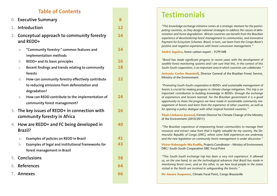# **Table of Contents**

|    | 0. Executive Summary                                                                                                    |    |  |
|----|-------------------------------------------------------------------------------------------------------------------------|----|--|
| 1. | Introduction                                                                                                            | 12 |  |
| 2. | Conceptual approach to community forestry<br>and REDD+                                                                  | 14 |  |
|    | "Community forestry:" common features and<br>a.<br>implementation methods                                               | 14 |  |
|    | REDD+ and its basic principles<br>b.                                                                                    | 16 |  |
|    | Recent findings and trends relating to community<br>C.<br>forests                                                       | 18 |  |
|    | How can community forestry effectively contribute<br>d.<br>to reducing emissions from deforestation and<br>degradation? | 22 |  |
|    | How can REDD contribute to the implementation of<br>e.<br>community forest management?                                  | 24 |  |
| 3. | The key issues of REDD+ in connection with<br>community forestry in Africa                                              | 26 |  |
| 4. | How are REDD+ and FC being developed in<br><b>Brazil?</b>                                                               | 40 |  |
|    | <b>Examples of policies on REDD in Brazil</b><br>a.                                                                     | 41 |  |
|    | Examples of legal and institutional frameworks for<br>b.                                                                | 43 |  |
|    | forest management in Brazil                                                                                             |    |  |
| 5. | <b>Conclusions</b>                                                                                                      | 58 |  |
| 6. | References                                                                                                              | 64 |  |
| 7. | <b>Annexes</b>                                                                                                          | 66 |  |

# **Testimonials**

*"This knowledge exchange initiative comes at a strategic moment for the partici pating countries, as they design national strategies to address the causes of defo restation and forest degradation. African countries can benefit from the Brazilian experience of decentralizing forest management to communities, and innovative Payment for Ecosystem Schemes. Brazil, in turn, can learn from the Congo Basin's positive and negative experiences with forest concession management."*

**André Aquino**, forest carbon expert – FCPF/WB

*"Brazil has made significant progress in recent years with the development of satellite forest monitoring systems and I am sure that this, in the context of this South-South cooperation, is an important area in which countries can collaborate."*

**Antonio Carlos Hummell**, Director General of the Brazilian Forest Service, Ministry of the Environment

*"Promoting South-South cooperation in REDD+ and sustainable management of forests is crucial for making progress in climate change mitigation. This trip is an important contribution to building knowledge in REDD+ through the exchange of experiences and lessons learned. For the Brazilian government it is a good opportunity to share the progress we have made in sustainable community ma nagement of forests and learn from the experience of other countries, as well as for opening a policy dialogue with other tropical forested countries."*

**Thais Linhares-Juvenal**, Former Director for Climate Change of the Ministry of the Environment (2010/2011)

*"The Brazilian experience of empowering forest communities to manage their resources and extract value from that is highly valuable for my country, the De mocratic Republic of Congo (DRC), where some field experiences are underway and the new legislation on community forest management is under discussion."*

**Victor Kabengele Wa Kadilu**, Projects Coordinator – Ministry of Environment DRC/ South-South Cooperation DRC Focal Point

*"This South-South exchange trip has been a very rich experience. It allowed us, on the one hand, to see the technological advances that Brazil has made in monitoring forest cover, and on the other, to see how local people in the states visited in the North are involved in safeguarding the forests."*

**Ifo Aware Suspense**, Climate Focal Point, Congo Brazzaville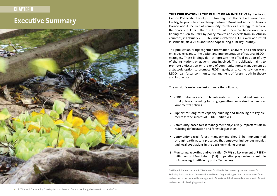# **CHAPTER 0**

# **Executive Summary**



**This publication is the result of an initiative** by the Forest Carbon Partnership Facility, with funding from the Global Environment Facility, to promote an exchange between Brazil and Africa on lessons learned about the role of community forestry as a strategy to achieve the goals of REDD+1. The results presented here are based on a factfinding mission to Brazil by policy makers and experts from six African countries, in February 2011. Key issues related to REDD+ were addressed in seminars, field visits and workshops during a 10-day journey.

This publication brings together information, analyses, and conclusions on issues relevant to the design and implementation of national REDD+ strategies. These findings do not represent the official position of any of the institutions or governments involved. This publication aims to promote a discussion on the role of community forest management as a strategic option to promote REDD+ goals, and, conversely, on ways REDD+ can foster community management of forests, both in theory and in practice.

The mission's main conclusions were the following:

- **1.** REDD+ initiatives need to be integrated with sectoral and cross-sectoral policies, including forestry, agriculture, infrastructure, and environmental policies.
- **2.** Support for long-term capacity building and financing are key elements for the success of REDD+ initiatives
- **3.** Community-based forest management plays a very important role in reducing deforestation and forest degradation.
- **4.** Community-based forest management should be implemented through participatory processes that empower indigenous peoples and local populations in the decision-making process.
- **5.** Monitoring, reporting and verification (MRV) is a key element of REDD+ initiatives, and South-South (S-S) cooperation plays an important role in increasing its efficiency and effectiveness.

1 In this publication, the term REDD+ is used for all activities covered by the mechanism for Reducing Emissions from Deforestation and Forest Degradation, plus the conservation of forest carbon stocks, the sustainable management of forests, and the increased enhancement of forest carbon stocks in developing countries.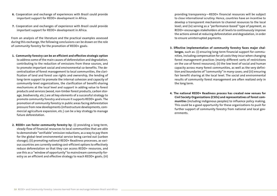- **6.** Cooperation and exchange of experiences with Brazil could provide important support for REDD+ development in Africa.
- **7.** Cooperation and exchanges of experience with Brazil could provide important support for REDD+ development in Africa.

From an analysis of the literature and the practical examples assessed during this exchange, the following conclusions can be drawn on the role of community forestry for the promotion of REDD+ goals:

- **1. Community forestry can be an efficient and effective strategic option**  to address some of the main causes of deforestation and degradation, contributing to the reduction of emissions from these sources, and to promote important social and environmental co-benefits. The decentralization of forest management to local communities, the clarification of land and forest use rights and ownership, the lending of long-term support to promote the internal cohesion and capacity of community-level organizations, the clarification of benefit-sharing mechanisms at the local level and support in adding value to forest products and services (wood, non-timber forest products, carbon storage, biodiversity, etc.) are all key elements of a successful strategy to promote community forestry and ensure it supports REDD+ goals. The promotion of community forestry in public areas facing deforestation pressure from new developments (infrastructure developments, commercial agriculture expansion, etc.) can be a key strategy to manage future deforestation.
- **2. REDD+ can foster community forestry by**: (i) providing a long-term, steady flow of financial resources to local communities that are able to demonstrate "verifiable" emission reductions, as a way to pay them for the global-level environmental service being carried out (carbon storage); (ii) promoting national REDD+ Readiness processes, as various countries are currently seeking cost-efficient options to effectively reduce deforestation so that they can access REDD+ resources, and use this as a "window of opportunity" to mainstream community forestry as an efficient and effective strategy to reach REDD+ goals; (iii)

providing transparency—REDD+ financial resources will be subject to close international scrutiny. Hence, countries have an incentive to develop a transparent mechanism to channel resources to the local level; and (iv) serving as a "performance-based" type of payment, as REDD+ encourages stakeholders at all levels to continuously improve the actions aimed at reducing deforestation and degradation, in order to ensure uninterrupted payments.

- **3. Effective implementation of community forestry faces major challenges**, such as: (i) ensuring long-term financial support for communities, including compensation for all costs they incur when changing forest management practices (mainly different sorts of restrictions on the use of forest resources); (ii) the low level of social and human capacity across many forest communities, as well as the very definition and boundaries of "community" in many cases; and (iii) ensuring fair benefit sharing at the local level. The social and environmental results of community forest management are often realized only in the long term.
- **4. The national REDD+ Readiness process has created new venues for Civil Society Organizations (CSOs) and representatives of forest communities** (including indigenous peoples) to influence policy making. This could be a good opportunity for these organizations to push for further support of community forestry from national and local governments.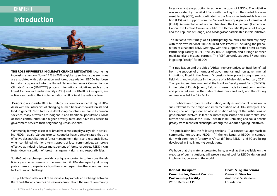# CHAPTER 1

# **Introduction**



**The role of forests in climate change mitigation** is garnering increasing attention. Some 12% to 20% of global greenhouse gas emissions are associated with deforestation and forest degradation. REDD+ has been formally incorporated into the United Nations Framework Convention on Climate Change (UNFCCC) process. International initiatives, such as the Forest Carbon Partnership Facility (FCPF) and the UN-REDD Program, are actively supporting the implementation of REDD+ at the national level.

 Designing a successful REDD+ strategy is a complex undertaking. REDD+ deals with the intricacies of changing human behavior toward forests and land in general. Most forests in developing countries are home to human societies, many of which are indigenous and traditional populations. Most of these communities face higher poverty rates and have less access to government services than neighboring urban societies.

Community forestry, taken in its broadest sense, can play a key role in achieving REDD+ goals. Various tropical countries have demonstrated that the effective decentralization of forest management rights and responsibilities, when combined with long-term support of local communities, can prove effective at inducing better management of forest resources. REDD+ can foster decentralization of forest management rights and responsibilities.

South-South exchanges provide a unique opportunity to improve the efficiency and effectiveness of the emerging REDD+ strategies by allowing policy makers to experience how their counterparts in other countries have tackled similar challenges.

This publication is the result of an initiative to promote an exchange between Brazil and African countries on lessons learned about the role of community forestry as a strategic option to achieve the goals of REDD+. The initiative was supported by the World Bank with funding from the Global Environment Facility (GEF), and coordinated by the Amazonas Sustainable Foundation (FAS) with support from the National Forestry Agency – International (ONFI). Representatives of five countries from the Congo Basin (Cameroon, Gabon, the Central African Republic, the Democratic Republic of Congo, and the Republic of Congo) and Madagascar participated in this initiative.

This initiative was timely, as all participating countries are currently busy with their own national "REDD+ Readiness Process." including the preparation of a national REDD Strategy, with the support of the Forest Carbon Partnership Facility (FCPF), the UN-REDD Program, and a range of other multilateral and bilateral partners. The FCPF currently supports 37 countries in getting "ready" for REDD+.

This publication and the visit of African representatives to Brazil benefited from the support of a number of governmental and non-governmental institutions, listed in the Annex. Discussions took place through seminars, field visits and workshops in the course of a 10-day visit in February 2011. The opening seminar was held at the Brazilian Development Bank (BNDES), in the state of Rio de Janeiro, field visits were made to forest communities and protected areas in the states of Amazonas and Pará, and the closing seminar was held in São Paulo.

This publication organizes information, analyses and conclusions on issues relevant to the design and implementation of REDD+ strategies. The findings do not represent an official position of any of the institutions or governments involved. In fact, the material presented here aims to stimulate further discussions, as the REDD+ debate is still unfolding and could benefit greatly from technical exchanges among the various ongoing initiatives.

This publication has the following sections: (i) a conceptual approach to community forestry and REDD+; (ii) the key issues of REDD+ in connection with community forestry in Africa; (iii) how REDD+ and FC are being developed in Brazil; and (v) conclusions.

We hope that the material presented here, as well as that available on the websites of our institutions, will prove a useful tool for REDD+ design and implementation around the world.

**Benoît Bosquet Coordinator, Forest Carbon Partnership Facility** World Bank – FCPF

**Prof. Virgilio Viana General Director** Amazonas Sustainable Foundation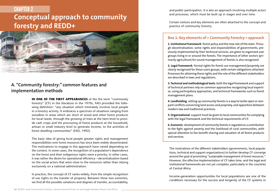# **Conceptual approach to community forestry and REDD+ CHAPTER 2**



## **A. "Community forestry:" common features and implementation methods**

**IN ONE OF THE FIRST APPEARANCES** of the the term "community forestry" (CF) in the literature in the 1970s, FAO provided the following definition: "any situation which intimately involves local people in a forestry activity. It embraces a spectrum of situations ranging from woodlots in areas which are short of wood and other forest products for local needs, through the growing of trees at the farm level to provide cash crops and the processing of forest products at the household, artisan or small industry level to generate income, to the activities of forest dwelling communities" (FAO, 1992).

The basic idea of giving local people greater rights and management responsibilities over forest resources has since been widely disseminated. The motivations to engage in this approach have varied depending on the context. In some cases, the recognition of a population's dependence on the forest and their indigenous rights were a priority; in other cases, it was rather the desire for operational efficiency—decentralization based on the social actors that were close to the resources rather than relying exclusively on a national administration.

In practice, the concept of CF varies widely, from the simple recognition of use rights to the transfer of property. Between these two extremes, we find all the possible variations and degrees of transfer, accountability,

and public participation. It is also an approach involving multiple actors and processes, which must be built up in stages and over time.

Certain notions and key elements are often attached to the concept and practice of community forestry.

#### **Box 1: Key elements of « Community Forestry » approach**

**1. Institutional framework**: forest policy and the new role of the state. Through decentralization, some rights and responsibilities of governments, previously implemented by their technical services, are given to organized user groups living in or around the forests. The importance of other sectors (primarily agriculture) for sound management of forests is also recognized.

**2. Legal framework**: formal rights for forest use management/propriety are clearly recognized for these users groups, with certain obligations attached. Processes for attaining these rights and the role of the different stakeholders are described in laws and regulations.

**3. Technical and methodological tools**: both the legal framework and support of technical partners rely on common approaches recognizing local expertise, using participatory approaches, and technical frameworks such as forest management plans.

**4. Landholding**: setting up community forests is a way to tackle open or rampant conflicts concerning land access and propriety, and opposition between modern law and traditional practices.

**5. Organizational**: support must be given to local communities for complying with the legal framework and the technical requirements of CF.

**6. Economic**: development of community forests is regarded as a contribution to the fight against poverty and the livelihood of rural communities, with special attention to fair benefit sharing and valuation of all forest products and services.

The motivations of the different stakeholders (governments, local populations, technical and support organizations) to further develop CF converge around the goal of promoting "sustainable management of forest resources." However, the effective implementation of CF takes time, and the legal and institutional frameworks are not yet complete, particularly in the countries of Central Africa.

Income-generation opportunities for local populations are one of the conditions necessary for the success and longevity of the CF systems in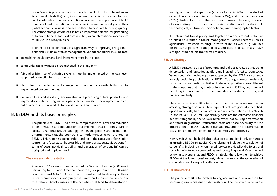place. Wood is probably the most popular product, but also Non-Timber Forest Products (NTFP) and, in some cases, activities such as ecotourism can be interesting sources of additional income. The importance of NTFP in regional and international markets has increased in recent years. Their global economic value is, however, difficult to calculate but rising quickly. The carbon storage of forests also has an important potential for generating a stream of benefits for local communities, as an international mechanism for REDD+ is already in place.

In order for CF to contribute in a significant way to improving living conditions and sustainable forest management, various conditions must be met:

- **n** an enabling regulatory and legal framework must be in place:
- $\Box$  community capacity must be strengthened in the long term;
- $\blacksquare$  fair and efficient benefit-sharing systems must be implemented at the local level. supported by functioning institutions;
- e clear rules must be defined and management tools be made available that can be implemented by communities;
- enhanced local added value (transformation and processing of local products) and improved access to existing markets, particularly through the development of roads, but also access to new markets for forest products and services.

## **B. REDD+ and its basic principles**

The principle of REDD+ is to provide compensation for a verified reduction of deforestation and degradation or a verified increase of forest carbon stocks. A National REDD+ Strategy defines the policies and institutional arrangements that the country is to implement to reach the goal of REDD+. This requires a deep understanding of the causes of deforestation (current and future), so that feasible and appropriate strategic options (in terms of costs, political feasibility, and generation of co-benefits) can be designed and implemented.

#### **The causes of deforestation**

A review of 152 case studies conducted by Geist and Lambin (2001)—78 pertaining to 11 Latin American countries, 55 pertaining to 10 Asian countries, and 8 to 19 African countries—helped to develop a theoretical framework for analyzing the direct and indirect causes of deforestation. Direct causes are the activities that lead to deforestation: mainly, agricultural expansion (a cause found in 96% of the studied cases), the extension of infrastructure (72%), and forest exploitation (67%). Indirect causes influence direct causes. They are, in order of descending importance, economic, political and institutional, technological, cultural or sociopolitical, and demographic factors.

It is clear that forest policy and legislation alone are not sufficient to ensure sustainable forest management. Other sectors such as agriculture, livestock, mining, infrastructure, as well as guidelines for industrial policies, trade policies, and decentralization also have a major influence on the forest resource.

#### **REDD+ Strategy**

A REDD+ strategy is a set of programs and policies targeted at reducing deforestation and forest degradation, and increasing forest carbon stocks. Various countries, including those supported by the FCPF, are currently actively designing their National REDD+ Strategy through analytical, participatory, and testing activities. In defining priorities across different strategic options that may contribute to achieving REDD+, countries will be taking into account costs, the generation of co-benefits, risks, and political feasibility.

The cost of achieving REDD+ is one of the main variables used when assessing strategic options. Three types of costs are generally identified: opportunity costs, transaction costs, and implementation costs (PAGIO-LA and BOSQUET, 2009). Opportunity costs are the estimated financial benefits foregone by the various actors when not causing deforestation and forest degradation, transaction costs are those necessary for the organization of REDD+ payment transactions, and the implementation costs concern the implementation of activities and processes.

However, it should be highlighted that cost estimation is only one aspect in assessing REDD+ strategies. Other elements include the calculation of co-benefits, including environmental services provided by the forest, and social benefits to local communities and society in general. Countries will be trying to prepare national REDD+ strategies that allow them to achieve REDD+ at the lowest possible cost, while maximizing the generation of co-benefits, and being politically feasible.

#### **REDD+ monitoring**

The principle of REDD+ involves having accurate and reliable tools for measuring emissions due to deforestation. The identified systems are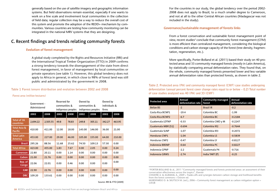generally based on the use of satellite imagery and geographic information systems. But field observations remain essential, especially if one wants to work on a fine scale and involvement local communities in the collection of field data; regular collection may be a way to reduce the overall cost of this system and promote the adoption of the REDD+ mechanism by communities. Various countries are testing how community monitoring can be integrated in the national MRV systems that they are designing.

## **C. Recent findings and trends relating community forests**

#### **Evolution of forest management**

A global study completed by the Rights and Resources Initiative (RRI) and the International Tropical Timber Organization (ITTO) in 2009 confirms a strong tendency towards the disengagement of the state from direct forest management, in favor of management by local communities or private operators (see table 1). However, this global tendency does not apply to Africa in general, in which close to 98% of forest land was still public and administrated by the government in 2008.

#### **Table 1 Forest tenure distribution and evolution between 2002 and 2008**

#### **Forest area (million hectares)**

|                               | Government -<br>Administered |          | Reserved for<br>communities &<br>indigenous peoples |       | Owned by<br>communities &<br>indigenous peoples |        | Owned by<br>individuals &<br>firms |        |
|-------------------------------|------------------------------|----------|-----------------------------------------------------|-------|-------------------------------------------------|--------|------------------------------------|--------|
|                               | 2002                         | 2008     | 2002                                                | 2008  | 2002                                            | 2008   | 2002                               | 2008   |
| Total of 36<br>countries      | 2,694.22                     | 2,505.55 | 49.8                                                | 78.83 | 249.8                                           | 305.11 | 342.27                             | 463.95 |
| Total Asia &<br>Pacific       | 410.00                       | 411.00   | 12.00                                               | 18.00 | 143.00                                          | 146.00 | 36.00                              | 21.00  |
| <b>Total Latin</b><br>America | 453.00                       | 227.00   | 29.00                                               | 46.00 | 105.00                                          | 155.00 | 64.00                              | 210.00 |
| <b>Brazil</b>                 | 295.26                       | 88.56    | 11.68                                               | 25.62 | 74.50                                           | 109.13 | 57.30                              | 0.00   |
| <b>Total Africa</b>           | 423.00                       | 455.00   | 1.83                                                | 7.67  | 0.00                                            | 2.05   | 0.00                               | 0.24   |
| Cameroon                      | 22.80                        | 20.11    | 0.00                                                | 1.14  | 0.00                                            | 0.00   | 0.00                               | 0.00   |
| Gabon                         | 21.00                        | 21.76    | 0.00                                                | 0.00  | 0.00                                            | 0.00   | 0.00                               | 0.00   |
| Rep. of<br>Congo              | 22.06                        | 22.01    | 0.00                                                | 0.46  | 0.00                                            | 0.00   | 0.00                               | 0.00   |
| <b>CAR</b>                    | 22.90                        | 22.76    | 0.00                                                | 0.00  | 0.00                                            | 0.00   | 0.00                               | 0.00   |
| <b>DRC</b>                    | 109.20                       | 133.61   | 0.00                                                | 0.00  | 0.00                                            | 0.00   | 0.00                               | 0.00   |

Source: RRI & ITTO (2009)

#### **Governance/sustainable management of forests links**

From a forest conservation and sustainable forest management point of view, recent studies<sup>2</sup> conclude that community forest management (CFM) is more efficient than centralized management, considering the biological conditions and carbon storage capacity of the forest (tree density, fragmentation, regeneration, etc.).

More specifically, Porter-Bolland et al. (2011) based their study on 40 protected areas and 33 community managed forests (mostly in Latin America), by statistically comparing annual deforestation rates. They found that, on the whole, community managed forests presented lower and less variable annual deforestation rates than protected forests, as shown in table 2.

**Table 2. Protected area (PA) and community managed forest (CMF) case studies undergoing deforestation (annual percent forest cover change rates equal to or below – 0.2) Total number of case studies analyzed was 40 (PA) and 33 (CMF)**

| <b>Protected area</b>     | Annual<br>deforestation rate | <b>Community managed</b><br>forest | Annual<br>deforestation rate |
|---------------------------|------------------------------|------------------------------------|------------------------------|
| <b>Belize BS</b>          | $-2$                         | <b>Brazil IR</b>                   | $-0.2$                       |
| Costa Rica BCNP1          | $-19.4$                      | Colombia BC                        | $-1.99$                      |
| Costa Rica BCNP2          | $-6.7$                       | Colombia BC                        | $-0.2184$                    |
| Guatemala LDTNP           | $-0.33$                      | Colombia CMD y M                   | $-0.2247$                    |
| Guatemala MBR (51)        | $-0.694$                     | Colombia IR2                       | $-0.7644$                    |
| Guatemala SLNP            | $-1.07$                      | Colombia IR3                       | $-0.2072$                    |
| <b>Honduras CNP1</b>      | $-1.04$                      | Colombia LS                        | $-0.5839$                    |
| Honduras CNP <sub>2</sub> | $-0.47$                      | Colombia LY                        | $-0.8127$                    |
| <b>Indonesia BBSNP</b>    | $-0.64$                      | Colombia PC                        | $-0.8227$                    |
| Indonesia GPNP            | $-2.2$                       | Guatemala P4                       | $-0.716$                     |
| Indonesia GRWS            | $-2.74$                      | India TART (P)                     | $-0.25$                      |

2 PORTER-BOLLAND & al., 2011 "Community managed forests and forests protected areas: an assessment of their conservation effectiveness across the tropics", Elsevier

CHHATRE A. & AGRAWAL A., 2009 « Trades-offs and synergies between carbon storage and livelihood benefits from the forest commons » Ostrom ed.

MURDIYARSO D. & SKUTSCH M. (ed.), 2006 « Community forest management as carbon mitigation option » CIFOR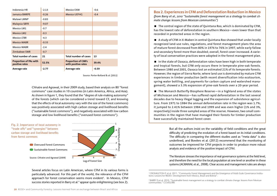| Indonesia HR                                    | $-2.13$ | Mexico EXM                                       | $-0.6$  |
|-------------------------------------------------|---------|--------------------------------------------------|---------|
| Jamaica BMRPE                                   | $-0.26$ | <b>Mexico UEFHG</b>                              | $-0.4$  |
| Malawi LMNP                                     | $-0.83$ |                                                  |         |
| Malaysia SBFR                                   | $-9.07$ |                                                  |         |
| Mexico LM1                                      | $-0.7$  |                                                  |         |
| <b>Mexico LM2</b>                               | $-0.3$  |                                                  |         |
| Mexico LTBR                                     | $-4.3$  |                                                  |         |
| <b>Mexico MABR</b>                              | $-0.33$ |                                                  |         |
| <b>Mexico MABR</b>                              | $-2.4$  |                                                  |         |
| Zimbabwe SWR                                    | $-0.7$  |                                                  |         |
| Total number of cases                           | 21      | <b>Total number of cases</b>                     | 13      |
| <b>Proportion of PAs with</b><br>positive rates | 52.5%   | <b>Proportion of CMFs</b><br>with positive rates | 39.4%   |
| Average rate                                    | $-2.77$ | Average rate                                     | $-0.59$ |

Source: Porter-Bolland & al. (2011)

Chhatre and Agrawal, in their 2009 study, based their analysis on 80 "forest commons" case studies in 10 countries (in Latin America, Africa, and Asia). As shown in figure 1, they found that the "degree of rule-making autonomy" of the forests (which can be considered a trend toward CF, and knowing that the effects of local autonomy vary with the size of the forest commons) was positively associated with high carbon storage and livelihood benefits ("sustainable forest commons"), and negatively associated with low carbon storage and low livelihood benefits ("overused forest commons").



Log of Forest Size

Change in Probability

0 .2 .4 .6 .8 1

Several articles focus on Latin American, where CFM in its various forms is particularly advanced. For this part of the world, the relevance of the CFM approach for forest conservation seems more evident<sup>3</sup>. In Mexico, CFM success stories reported in Barry et al.<sup>4</sup> appear quite enlightening (see box 2).

**Box 2. Experiences in CFM and Deforestation Reduction in Mexico**  *(from Barry et al., 2010 "Sustainable forest management as a strategy to combat climate change: lessons from Mexican communities")*

 $\blacksquare$  The central region of the state of Quintana Roo, which is dominated by CFM. has the lowest rate of deforestation in southern Mexico—even lower than that recorded in protected areas in the region.

 A study of CFM in X-Maben in central Quintana Roo showed that under locally recognized land-use rules, regulations, and forest management plans the area of mature forest decreased from 80% in 1976 to 76% in 1997, while early fallow and secondary forest more than doubled; overall, forest cover increased. A variety of local conservation practices were adopted in the forest management plan.

In the state of Oaxaca, deforestation rates have been high in both temperate and tropical forests, but CFM only occurs there in temperate pine-oak forests. Between 1980 and 2001, Oaxaca lost an estimated 21% of its temperate forests. However, the region of Sierra Norte, where land use is dominated by mature CFM experiences in timber production (with recent diversification into ecotourism, spring water bottling, and payments for carbon capture and watershed management), showed a 3.3% expansion of pine-oak forests over a 20-year period.

 $\blacksquare$  The Monarch Butterfly Biosphere Reserve—in a highland area of the states of Michoacan and Mexico—has suffered rapid deforestation in the last several decades due to heavy illegal logging and the expansion of subsistence agriculture. From 1971 to 1984 the annual deforestation rate in the region was 1.7%; it jumped to 2.41% between 1984 and 1999 and was even higher (1% and 3%, respectively) inside three sampled areas of the reserve. However, two small communities in the region that have managed their forests for timber production have successfully maintained forest cover.

> But all the authors insist on the variability of field conditions and the great difficulty of predicting the evolution of a forest based on its initial conditions. The difficulty in comparing the different studies used as "meta data" is also underlined, and Bowlers et al. (2012) recommend that the monitoring of outcomes be improved for CFM projects in order to produce more robust analysis and evidence of the positive impact of CFM.

> The literature stresses the importance of real governance systems at the field level, and therefore the need for the local population at one level or another in these systems (AGRAWAL et al., 2008). Clear access and management rules are always

<sup>&</sup>lt;sup>3</sup> CRONKLETON P. et al. 2011. "Community Forest Management and the Emergence of Multi-Scale Governance Institu-<br>tions: Lessons for REDD+ Development from Mexico, Brazil and Bolivia".

<sup>4</sup> BARRY D.et al. 2010. "Sustainable forest management as a strategy to combat climate change: lessons from Mexican communities." CCMSS/RRI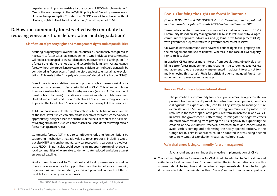regarded as an important variable for the success of REDD+ implementation<sup>6</sup>. One of the key messages in the FAO/ITTO policy brief "Forest governance and climate-change mitigation" states that "REDD cannot be achieved without clarifying rights to land, forests and carbon," which is part of CFM.

# **D. How can community forestry effectively contribute to reducing emissions from deforestation and degradation?**

#### **Clarification of property rights and management rights and responsibilities**

Securing property rights over natural resources is unanimously recognized as necessary to foster sustainable management. One individual or a community will not be encouraged to invest (plantation, improvement of plantings, etc.) in a forest if their rights are not clear and secure in the long term. A state-owned forest without any surveillance system and efficient control could generally be considered as "open access," and therefore subject to unsustainable exploitation. This leads to the "tragedy of commons" described by Hardin (1968).

Even if there is only a relative transfer of property rights, the responsibility for resource management is clearly established in CFM. This often contributes to a more sustainable use of the forestry resource (see box 3: Clarification of forest rights in Tanzania). In addition, communities whose rights have been clarified and are enforced through effective CFM also have strong incentives to protect the forests from "outsiders" who may overexploit their resources.

CFM is often associated with the clarification of benefit-sharing mechanisms at the local level, which can also create incentives for forest conservation if appropriately designed (see the example in the next section of the *Bolsa Floresta* program in Brazil, which compensates households for following certain forest management rules).

Community forestry (CF) may also contribute to reducing forest emissions by supporting mechanisms that add value to forest products, including wood, but also NTFP, and environmental services (ecotourism, carbon and biodiversity). REDD+, in particular, could become an important stream of revenue to local communities who are able to demonstrate reduced emissions against an agreed baseline.

Finally, through support to CF, national and local governments, as well as donors have an incentive to support the strengthening of local community organizations over the long-term, as this is a pre-condition for the latter to be able to sustainably manage forests.

### **Box 3. Clarifying the rights on forest in Tanzania**

*(Source: BLOMLEY T. and LUKUMBUZYA K. 2010. "Learning from the past and looking towards the future: Towards REDD Readiness in Tanzania." WB.* 

Tanzania has two forest management modalities that are relevant to CF: (1) Community-Based Forestry Management (CBFM) in forests owned by villages, communities or private individuals, and (2) Joint Forest Management (JFM), with government representatives in governmental forest reserves.

CBFM enables the communities to have well defined rights over property, and the management and use of benefits, whereas in the case of JFM property rights are less clear.

In practice, CBFM arouses more interest from populations, objectively enabling better forest management and creating little carbon leakage (CBFM management rules are generally implemented in adjacent forests not formally enjoying this status). JFM is less efficient at ensuring good forest management and generates more leakage.

#### **How can CFM address future deforestation?**

The promotion of community forestry in public areas facing deforestation pressure from new developments (infrastructure developments, commercial agriculture expansion, etc.) can be a key strategy to manage future deforestation. CFM is a way of incentivizing communities to protect their resource in the face of speculative pressures from an increase in land values. In Brazil, the government is attempting to mitigate the negative effects on forest cover resulting from paving the 163 Highway by supporting the creation of new extractivist reserves, protected areas and concessions to avoid settlers coming and deforesting the newly opened territory. In the Congo Basin, a similar approach could be adopted in areas being opened up to new types of exploitation (roads, agriculture, etc.).

#### **Main challenges facing community forest management**

Several challenges can hinder the effective implementation of CFM:

 $\blacksquare$  The national legislative frameworks for CFM should be adapted to field realities and suitable for local communities. For communities, the implementation costs in this approach should be kept low, and the technical requirements should not be too high if the model is to be disseminated without "heavy" support from technical partners.

<sup>5</sup> FAO / ITTO 2009: Forest governance and climate-change mitigation." Policy brief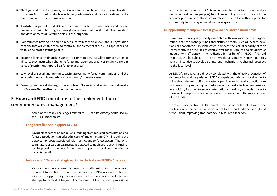- $\blacksquare$  The legal and fiscal framework, particularly for carbon benefit sharing and taxation of income from forest products—including carbon—should create incentives for the promotion of this type of management;
- $\blacksquare$  A substantial part of the REDD+ income should reach the communities, and the carbon income has to be integrated in a global approach of forest product valorization and development of lucrative fields in the long term.
- Communities have to be able to reach a certain technical level and a negotiation capacity that will enable them to control all the elements of the REDD approach and to take the most advantage of it.
- Ensuring long-term financial support to communities, including compensation of all costs they incur when changing forest management practices (mainly different sorts of restrictions imposed on forest resources);
- Low level of social and human capacity across many forest communities, and the very definition and boundaries of "community" in many cases;
- Ensuring fair benefit sharing at the local level. The social and environmental results of CFM are often realized only in the long term.

## **E. How can REDD contribute to the implementation of community forest management?**

Some of the many challenges related to CF can be directly addressed by the REDD mechanism.

#### **Long-term financial support to CFM**

Payments for emission reductions resulting from reduced deforestation and forest degradation can offset the costs of implementing CFM, including the opportunity costs associated with restrictions to forest access. The longterm nature of carbon payments, as opposed to traditional donor financing, can help address the need for long-term support to local communities for capacity building.

#### **Inclusion of CFM as a strategic option in the National REDD+ Strategy**

Various countries are currently seeking cost-efficient options to effectively reduce deforestation so that they can access REDD+ resources. This is a window of opportunity for mainstream CF as an efficient and effective strategy to reach REDD+ goals. The national REDD+ Readiness process has

also created new venues for CSOs and representatives of forest communities (including indigenous peoples) to influence policy making. This could be a good opportunity for these organizations to push for further support for community forestry by national and local governments.

#### **An opportunity to improve forest governance and financial flows**

Community forestry is generally associated with local management organizations that can manage funds and distribute them, such as local associations or cooperatives. In some cases, however, the lack of capacity of their representatives or the lack of control over funds can lead to situations of inequity or inefficiency in the redistribution of benefits. REDD+ financial resources will be subject to close international scrutiny. Hence, countries have an incentive to develop transparent mechanisms to channel resources to the local level.

As REDD´s incentives are directly correlated with the effective reduction of deforestation and degradation, REDD compels countries and local actors to think about the most effective systems possible, which really benefit those who are actually reducing deforestation in the most effective way possible. In addition, in order to secure international funding, countries have to show real transparency and an absence of corruption in the management of the funds.

From a CF perspective, REDD+ enables the use of tools that allow for the verification of the actual conservation of forests and national and global trends, thus improving transparency in resource allocation.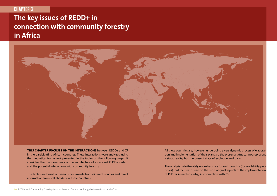# **CHAPTER 3**

# **The key issues of REDD+ in connection with community forestry in Africa**



**This chapter focuses on the interactions** between REDD+ and CF in the participating African countries. These interactions were analyzed using the theoretical framework presented in the tables on the following pages. It considers the main elements of the architecture of a national REDD+ system and the potential interactions with community forestry.

The tables are based on various documents from different sources and direct information from stakeholders in these countries.

All these countries are, however, undergoing a very dynamic process of elaboration and implementation of their plans, so the present status cannot represent a static reality, but the present state of evolution and gaps.

The analysis is deliberately not exhaustive for each country (for readability purposes), but focuses instead on the most original aspects of the implementation of REDD+ in each country, in connection with CF.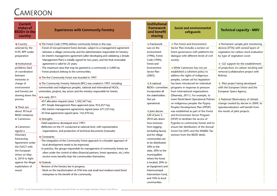# **CAMEROON**

| $\blacksquare$ The Forest Code (1994) defines community forests in this way:<br>$\blacksquare$ Framework<br>The Forest and Environment<br>Permanent sample plot monitoring<br>$\blacksquare$ Country<br>selected by the<br>- Forest of non-permanent forest domain, subject to a management agreement<br>Law on the<br>Sector Plan includes a section on<br>devices (ITTA) with several layers of<br>FCPF, RPP under<br>between a village community and the administration responsible for forestry;<br>forest governance with platforms for<br>vegetation for carbon stock evaluation<br>environment<br>- An interim management agreement (after developing and validating a Simple<br>dialogue with different levels of civil<br>(1996), Forest<br>by type of vegetation cover.<br>preparation<br>Management Plan) is initially signed for two years, and the final renewable<br>Code (1994),<br>society.<br>$\blacksquare$ GIZ support for the establishment<br>Institutional<br>agreement is valid for 25 years;<br>Forest and<br>- The maximum area that may be granted to a community is 5,000 ha;<br>of projections on carbon stocking and<br>problems (lack<br>Environment<br>■ While Cameroon has not yet<br>of coordination<br>- Forest products belong to the communities.<br>Sector Plan<br>established a coherent policy to<br>removal (collaborative project with<br>(2003).<br>address the rights of indigenous<br>between<br>Bolivia).<br>$\blacksquare$ The first Community Forest was founded in 1997.<br>peoples, certain ad hoc legislation<br>ministries in<br>The Community Forestry Network (RFC) was created in 1997, including<br>$\blacksquare$ A national<br>has been introduced for individual<br>Pilot project being developed<br>charge of<br>with the European Union and the<br>communities and indigenous peoples, national and international NGOs,<br>REDD+ committee<br>programs in response to pressure<br>environment<br>and forests) are<br>universities, projects, key actors and the ministry responsible for forests.<br>incorporates all<br>from international organizations<br>European Space Agency.<br>the stakeholders.<br>(Dkamela, 2011). For example, to<br>slowing down the<br>$\blacksquare$ In early 2011:<br>Not yet<br>meet World Bank Operational Policies<br>National Observatory of climate<br>process.<br>-457 allocation requests (area: 1,502,347 ha);<br>on indigenous peoples the Pygmy<br>change created by decree in 2009; its<br>operational.<br>-291 Simple Management Plans approved (area: 933,457 ha);<br>Peoples Development Plan (PPDP)<br>operationalization will benefit from<br>$\blacksquare$ There are<br>-182 interim management agreements signed (area: 677,233 ha);<br>about 30 local<br>loint decree<br>was established as part of the Forest<br>the results of pilot projects.<br>-43 final agreements signed (area: 142,470 ha).<br><b>REDD</b> initiatives<br>520 of June 3,<br>and Environment Sector Program<br>2010 sets down<br>(FESP) to facilitate the access of<br>in Cameroon.<br>$\blacksquare$ Strengths:<br>-Field experience developed since 1997;<br>how revenues<br>Pygmies to community forests and to<br>-Reflection on the CF conducted at national level, with representative<br>ensure fair distribution of the Annual<br>■ Cameroon<br>from logging<br>organizations, and production of technical documents (manuals).<br>(including fauna)<br>Forest Fee (AFF) and the Wildlife Tax<br>signed a<br>Voluntary<br>and for village<br>(extract from the REDD desk).<br>Constraints:<br>Partnership<br>communities are<br>-The integration of the Community Forest approach in a broader approach of<br>to be distributed:<br>Agreement under<br>local development needs to be improved;<br>the FLEGT with<br>50% to the<br>-In practice, the groups responsible for management of community forests are<br>the European<br>state, 20% to the<br>often under the control of elites (financial partners, forest operators, etc.) who<br>Union on May<br>municipalities<br>receive more benefits than the communities themselves.<br>6, 2010 to fight<br>where the forest | <b>Current</b><br>status of<br><b>REDD+</b> in the<br>country | <b>Experiences with Community Forestry</b> | <b>Institutional</b><br>framework<br>and benefit<br>sharing | <b>Social and environmental</b><br>safeguards | <b>Technical capacity - MRV</b> |
|-----------------------------------------------------------------------------------------------------------------------------------------------------------------------------------------------------------------------------------------------------------------------------------------------------------------------------------------------------------------------------------------------------------------------------------------------------------------------------------------------------------------------------------------------------------------------------------------------------------------------------------------------------------------------------------------------------------------------------------------------------------------------------------------------------------------------------------------------------------------------------------------------------------------------------------------------------------------------------------------------------------------------------------------------------------------------------------------------------------------------------------------------------------------------------------------------------------------------------------------------------------------------------------------------------------------------------------------------------------------------------------------------------------------------------------------------------------------------------------------------------------------------------------------------------------------------------------------------------------------------------------------------------------------------------------------------------------------------------------------------------------------------------------------------------------------------------------------------------------------------------------------------------------------------------------------------------------------------------------------------------------------------------------------------------------------------------------------------------------------------------------------------------------------------------------------------------------------------------------------------------------------------------------------------------------------------------------------------------------------------------------------------------------------------------------------------------------------------------------------------------------------------------------------------------------------------------------------------------------------------------------------------------------------------------------------------------------------------------------------------------------------------------------------------------------------------------------------------------------------------------------------------------------------------------------------------------------------------------------------------------------------------------------------------------------------------------------------------------------------------------------------------------------------------------------------------------------------------------------------------------------------------------------------------------------------------------------------------------------------------------------------------------------------------------------------------------------------------------------------------------------------------------------------------------------------------------------------------------------------------------------------------------------------------------------------------------------------------------------------------------------------------------------------------------------------------------------------------------------------------------------------------------------------------------------------------------------------------------------------------------------------------------------------------------------------------------------------------------------------------------------------------------------------------------|---------------------------------------------------------------|--------------------------------------------|-------------------------------------------------------------|-----------------------------------------------|---------------------------------|
| exploitation of<br>-Revision of the forestry law in progress;<br>an Equipment and<br>- Work on the transformation of CFM into real small and medium-sized forest<br>wood.<br>Intermunicipal<br>Intervention Fund,<br>enterprises to the benefit of the community.<br>and 10% to local<br>communities.                                                                                                                                                                                                                                                                                                                                                                                                                                                                                                                                                                                                                                                                                                                                                                                                                                                                                                                                                                                                                                                                                                                                                                                                                                                                                                                                                                                                                                                                                                                                                                                                                                                                                                                                                                                                                                                                                                                                                                                                                                                                                                                                                                                                                                                                                                                                                                                                                                                                                                                                                                                                                                                                                                                                                                                                                                                                                                                                                                                                                                                                                                                                                                                                                                                                                                                                                                                                                                                                                                                                                                                                                                                                                                                                                                                                                                                                       | against the illegal                                           | Outlook:                                   | is located, 20% to                                          |                                               |                                 |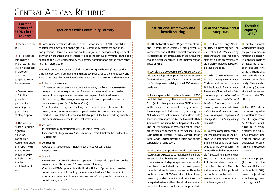# Central African Republic

| <b>Current</b><br>status of<br><b>REDD+</b> in the<br>country | <b>Experiences with Community Forestry</b>                                                                                                                |
|---------------------------------------------------------------|-----------------------------------------------------------------------------------------------------------------------------------------------------------|
| $\blacksquare$ Member of the                                  | Community forests are identified in the new forest code of 2008, but still no                                                                             |
| FCPF.                                                         | concrete implementation on the ground. "Community forests are part of the                                                                                 |
|                                                               | non-permanent forest domain, and are the subject of a management agreement                                                                                |
| RPP presented                                                 | between an organized and interested village or indigenous community on the one                                                                            |
| informally in                                                 | hand and the state represented by the Forestry Administration on the other hand"                                                                          |
| March 2011, final                                             | (art 133 Forest Code).                                                                                                                                    |
| version accepted                                              | Possible use of the experience of village areas of "game hunting" interest: the                                                                           |
| in October                                                    | villages collect taxes from hunting and must pay back 25% to the municipality and                                                                         |
| 2011 but                                                      | 15% to the state, the remaining 60% being for their socio-economic development.                                                                           |
| subject to some                                               |                                                                                                                                                           |
| improvements.                                                 | $\blacksquare$ Rights on the resources:                                                                                                                   |
|                                                               | - "A management agreement is a contract whereby the Forestry Administration<br>assigns to a community a portion of a forest of the national domain with a |
| $\blacksquare$ Development<br>of 13 pilot                     | view to its management, conservation and exploitation in the interests of                                                                                 |
| projects is                                                   | this community. The management agreement is accompanied by a simple                                                                                       |
| planned for                                                   | management plan" (art 134 Forest Code);                                                                                                                   |
| widening the                                                  | - "Forest products of any kind resulting from the exploitation of community                                                                               |
| preliminary                                                   | forests, wood resources, animal and plant species, fish products and special                                                                              |
| strategic options.                                            | products, except those that are regulated or prohibited by law, belong entirely to                                                                        |
|                                                               | the populations concerned" (art 139 Forest Code).                                                                                                         |
| $\blacksquare$ The Central                                    |                                                                                                                                                           |
| African Republic                                              | $\blacksquare$ Strengths:                                                                                                                                 |
| signed a                                                      | - Identification of community forests under the Forest Code;<br>- Experience of village areas of "game hunting" interest that can be used for the         |
| Voluntary                                                     | FC approach.                                                                                                                                              |
| Partnership                                                   |                                                                                                                                                           |
| Agreement under                                               | $\blacksquare$ Constraints:                                                                                                                               |
| the FLEGT with                                                | - Operational framework for implementation not yet completed;                                                                                             |
| the European                                                  | - No pilot projects.                                                                                                                                      |
| Union in 2010                                                 | Outlook:                                                                                                                                                  |
| to fight against                                              | - Development of pilot initiatives and operational framework, capitalizing on the                                                                         |
| the illegal                                                   | experience of village areas of "game hunting" interest;                                                                                                   |
| exploitation of                                               | - One of the REDD options identified in the RPP is to "promote sustainable                                                                                |
| wood.                                                         | forest management, including the operationalization of the concept of                                                                                     |
|                                                               | community forestry and greater involvement of local people in sustainable                                                                                 |
|                                                               | forest management."                                                                                                                                       |

#### **Experiences with Community Forestry Institutional framework and benefit sharing**

### **Social and environmental safeguards**

is being developed.

#### **Technical capacity - MRV**

REDD National Committee (6 government officials and 14 from other sectors), 3 inter-prefectural committees and a REDD technical coordinator. Responsible for the preparation, these institutions should be institutionalized in the implementation phase of REDD.

CAR plans the development of a REDD+ law that will set strategic priorities, principles and instruments for the implementation of REDD. The REDD law will confer a legal enforceability to the REDD strategic guidelines.

■ There is a proposal that the benefits related to REDD be distributed through the National Environment Fund (which already exists) where a REDD account will be created. The National Treasury supervises the management of all state funds, including the NEF. All expenses will be made in accordance with the work plan approved by the National REDD Committee (including the participation of CSOs). The ENF will periodically prepare a financial report on the different operations to the National REDD Committee for control. The new Central African Penal Code (2010) devotes a large part to the suppression of corruption.

Once the state portion is deducted, REDD resources are expected to be redistributed to private entities, local authorities and communities. Local communities and indigenous peoples would receive their share through the financing of development projects that contribute to and/or facilitate the implementation of REDD+ activities. Submission of projects by local communities and validation at the inter-prefectural committees where local communities and autochthonous peoples are also represented.

 $\blacksquare$  The RCA is the only African country to have signed the Convention ILO 169 concerning Indigenous and Tribal Peoples. A draft law on the promotion and protection of indigenous peoples The law 07.018 of December 28, 2007 setting Environmental **Forest of Southwest** 

Code establishes in its article 101 the Strategic Environmental Assessment (SEA), defined as "*the systematic process of assessing the possibilities, capabilities and functions of resources, natural and human systems in order to facilitate sustainable development planning, decision making and to predict and manage the impacts of planning proposals*".

Expected completion, early in the implementation of the RPP, of a SESA in accordance with the Environmental Code and safeguard policies of the World Bank. The results will enable the development of a framework for environmental and social management to limit the negative impacts and maximize co-benefits. The social and environmental impacts will be monitored on the basis of this framework for environmental and social management.

well monitored through the planning process for forest exploitation. It consists mainly of savanna areas that require the establishment of a new specific device. An external control of the quality of inventory data will be set up (modeled after the Independent Observer under APV-FLEGT).

The RCA will be the first country in the Congo Basin to benefit from the agreement AFD/Astrium, which aims to provide historical and future SPOT imagery, and historical analysis of deforestation, including rainforest and wooded savannah.

**REDDAF** project (funded by the European Union and implemented by GAF): research project aimed at achieving forest mapping of CAR.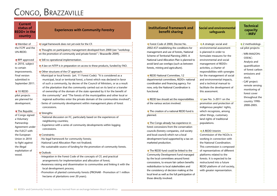# CONGO, BRAZZAVILLE

| Current<br>status of<br>REDD+ in the<br>country                                                                                                                                                                                                                                                                                                                                                                                                                             | <b>Experiences with Community Forestry</b>                                                                                                                                                                                                                                                                                                                                                                                                                                                                                                                                                                                                                                                                                                                                                                                                                                                                                                                                                                                                                                                                                                                                                                                                                                                                                                                                                                                                                                                                                                                                                                                                                                                                                                                                                                                           | <b>Institutional framework and</b><br>benefit sharing                                                                                                                                                                                                                                                                                                                                                                                                                                                                                                                                                                                                                                                                                                                                                                                                                                                                                                                                                                                                                                                                                                                                              | <b>Social and environmental</b><br>safeguards                                                                                                                                                                                                                                                                                                                                                                                                                                                                                                                                                                                                                                                                                                                                                                                                                                                                      | <b>Technical</b><br>capacity<br>- MRV                                                                                                                                                                                                                                                  |
|-----------------------------------------------------------------------------------------------------------------------------------------------------------------------------------------------------------------------------------------------------------------------------------------------------------------------------------------------------------------------------------------------------------------------------------------------------------------------------|--------------------------------------------------------------------------------------------------------------------------------------------------------------------------------------------------------------------------------------------------------------------------------------------------------------------------------------------------------------------------------------------------------------------------------------------------------------------------------------------------------------------------------------------------------------------------------------------------------------------------------------------------------------------------------------------------------------------------------------------------------------------------------------------------------------------------------------------------------------------------------------------------------------------------------------------------------------------------------------------------------------------------------------------------------------------------------------------------------------------------------------------------------------------------------------------------------------------------------------------------------------------------------------------------------------------------------------------------------------------------------------------------------------------------------------------------------------------------------------------------------------------------------------------------------------------------------------------------------------------------------------------------------------------------------------------------------------------------------------------------------------------------------------------------------------------------------------|----------------------------------------------------------------------------------------------------------------------------------------------------------------------------------------------------------------------------------------------------------------------------------------------------------------------------------------------------------------------------------------------------------------------------------------------------------------------------------------------------------------------------------------------------------------------------------------------------------------------------------------------------------------------------------------------------------------------------------------------------------------------------------------------------------------------------------------------------------------------------------------------------------------------------------------------------------------------------------------------------------------------------------------------------------------------------------------------------------------------------------------------------------------------------------------------------|--------------------------------------------------------------------------------------------------------------------------------------------------------------------------------------------------------------------------------------------------------------------------------------------------------------------------------------------------------------------------------------------------------------------------------------------------------------------------------------------------------------------------------------------------------------------------------------------------------------------------------------------------------------------------------------------------------------------------------------------------------------------------------------------------------------------------------------------------------------------------------------------------------------------|----------------------------------------------------------------------------------------------------------------------------------------------------------------------------------------------------------------------------------------------------------------------------------------|
| $\blacksquare$ Member of<br>the FCPF and the<br>UN-REDD.<br><b>RPP</b> approved<br>in 2010, subject<br>to certain<br>improvements.<br>Final version<br>submitted in<br>September 2011.<br>$\blacksquare$ 10 REDD<br>pilot projects<br>are planned for<br>development.<br>The Republic<br>of Congo signed<br>a Voluntary<br>Partnership<br>Agreement under<br>the FLEGT with<br>the European<br>Union in 2010<br>to fight against<br>the illegal<br>exploitation of<br>wood. | $\blacksquare$ Legal framework does not yet exist for the CF.<br>Thoughts on participatory management developed from 2000 (see "workshop<br>on the promotion of community and private forests" / Brazzaville 2009).<br>Still no operational implementation.<br>A law on NTFP is in preparation on access to these products, funded by FAO.<br>Other structures of the CF approach:<br>-Municipal or local forests (art. 11 Forest Code): "It is considered as a<br>municipal, local or territorial forest, a forest which was declared in favor<br>of such a community, by decree of the Council of Ministers, or as a result<br>of the plantation that the community carried out on its land or a transfer<br>of ownership of the domain of the state operated by it for the benefit of<br>the community" and "The forests of the municipalities and other local or<br>regional authorities enter the private domain of the communities involved";<br>-Series of community development within management plans of forest<br>concessions.<br>Strengths:<br>- National discussion on FC, particularly based on the experiences of<br>neighboring countries;<br>- Experience with a series of community developments within logging<br>concessions.<br>Constraints:<br>-No legal framework for community forests;<br>-National Land Allocation Plan not finalized;<br>-No sustainable source of funding for the promotion of community forests.<br>■ Outlook:<br>-Integration in the Forest Code of the concepts of CF, and practical<br>arrangements for implementation and allocation of forest;<br>-Awareness raising and dissemination to communities and linking it with the<br>local development process;<br>-Promotion of planted community forests (PRONAR - Promotion of 1 million<br>hectares of plantations over 20 years). | Forest Code of 2000, Decree No.<br>2002-437 establishing the conditions for<br>management and use of forests, National<br>Scheme of Territorial Planning 2005. A<br>National Land Allocation Plan is planned to<br>avoid land use overlaps (such as between<br>forests, mining and agriculture).<br>REDD National Committee, 12<br>departmental committees, REDD+ national<br>coordination and financing agency. For<br>now, only the National Coordination is<br>functional.<br>$\blacksquare$ REDD law should set the responsibilities<br>of the various sectors involved.<br>The creation of a national REDD fund is<br>planned.<br>The Congo already has experience in<br>forest concessions from the conservation<br>councils (forestry companies, civil society<br>and local council) which run a local<br>development fund supported by a tax on<br>marketed production.<br>The REDD fund could be linked to the<br>Community Development Fund managed<br>by the local committees around forest<br>concessions, to ensure fair carbon benefits<br>redistribution to local stakeholders and<br>the consistency of decision making at the<br>local level as well as the full participation of | A strategic social and<br>environmental assessment<br>is planned in order to<br>formulate measures for the<br>environmental and social<br>management of REDD+<br>activities, a charter of<br>responsibilities with synergies<br>for the management of social<br>and environmental impacts,<br>and a technical manual to<br>facilitate the development of<br>this assessment.<br>Law No. 5-2011 on the<br>promotion and protection of<br>indigenous peoples' rights,<br>which recognizes, among<br>other things, customary<br>land rights of traditional<br>populations.<br>A REDD Interim<br>Commission of the NGOs is<br>working in connection with<br>the National Coordination.<br>This commission is composed<br>of representatives of different<br>platforms related to the<br>forests. It is expected to be<br>restructured into a future<br>REDD platform of civil society,<br>with greater representation. | $\blacksquare$ 2 methodologi-<br>cal pilot projects:<br>- WRI-IMAZON-<br>OSFAC:<br>Analysis and<br>quantification<br>of forest carbon<br>emissions and<br>stock;<br>- GAF project:<br>remote sensing<br>monitoring of<br>forest cover<br>throughout the<br>country 1990-<br>2000-2005. |
|                                                                                                                                                                                                                                                                                                                                                                                                                                                                             |                                                                                                                                                                                                                                                                                                                                                                                                                                                                                                                                                                                                                                                                                                                                                                                                                                                                                                                                                                                                                                                                                                                                                                                                                                                                                                                                                                                                                                                                                                                                                                                                                                                                                                                                                                                                                                      | those directly involved.                                                                                                                                                                                                                                                                                                                                                                                                                                                                                                                                                                                                                                                                                                                                                                                                                                                                                                                                                                                                                                                                                                                                                                           |                                                                                                                                                                                                                                                                                                                                                                                                                                                                                                                                                                                                                                                                                                                                                                                                                                                                                                                    |                                                                                                                                                                                                                                                                                        |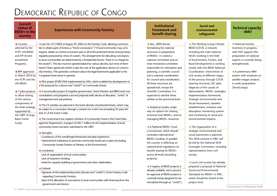# Democratic Republic of Congo

| <b>Current</b><br>status of<br><b>REDD+</b> in the<br>country                                            | <b>Experiences with Community Forestry</b>                                                                                                                                                                                                                                                                                                                                                                                                                                                                                                |
|----------------------------------------------------------------------------------------------------------|-------------------------------------------------------------------------------------------------------------------------------------------------------------------------------------------------------------------------------------------------------------------------------------------------------------------------------------------------------------------------------------------------------------------------------------------------------------------------------------------------------------------------------------------|
| $\blacksquare$ Country<br>selected by the<br>FCPF, UN-REDD<br>and FIP (Forest<br>Investment<br>Program). | Law No. 011/2002 of August 29, 2002 on the Forestry Code, allowing communi-<br>ties to obtain parts of forests as "forest concessions" ("A local community may, at its<br>request, obtain as a forest concession part or all of the protected forests among forests<br>regularly possessed by virtue of custom. The arrangements for allocating concessions<br>to local communities are determined by a Presidential Decree. There is no charge for<br>the award"). This law must be operationalized by various decrees, but most of them |
| $\blacksquare$ RPP approved<br>in March 2010 by !<br>the FCPF and the<br>UN-REDD.                        | haven't been signed yet (which is also the case of the application decree on commu-<br>nity forestry). This generates confusion about the legal framework applicable to the<br>Congolese forest sector in general.<br>Pilot project (FORCOM) implemented by FAO, which enabled the development of                                                                                                                                                                                                                                         |
| $\blacksquare$ 7 pilot projects<br>to allow testing<br>of the various<br>components of                   | a first proposal for a decree and "arrêté" <sup>6</sup> on community forests.<br>A second pilot project (Congolese government, Forest Monitor and RRN) took over<br>consultations and prepared a second proposal (with decree of allocation, "arrêté" of<br>management and sub-policies).<br>$\blacksquare$ The CF activities are planned in the forest domain of protected forests, which may                                                                                                                                            |
| the draft strategy,<br>supported by<br>the CBFF (Congo<br><b>Basin Forest</b>                            | be subject to a concession through a contract for a term not exceeding 25 years (Ar-<br>ticle 21 of the Forest Code).<br>$\blacksquare$ The Government has created a Division of Community Forest in the Forest Man-                                                                                                                                                                                                                                                                                                                      |
| Fund).                                                                                                   | agement Department. A project of USD 7 million for the implementation of local<br>community forests has been submitted to the CBFF.<br>$\blacksquare$ Strengths:                                                                                                                                                                                                                                                                                                                                                                          |
|                                                                                                          | -Consistency of the overall legal framework and pilot experience;<br>-National level institutions to promote community forests are in place (including<br>Community Forests Division at Ministry of the Environment).<br>$\blacksquare$ Constraints:                                                                                                                                                                                                                                                                                      |
|                                                                                                          | - Lack of organization of local communities;<br>-Lack of long-term funding;<br>-Need for capacity building of government and other stakeholders.<br>Outlook:                                                                                                                                                                                                                                                                                                                                                                              |
|                                                                                                          | -Signature of the implementing texts (decrees and "arrêtés") of the Forestry Code<br>regarding Community Forestry;<br>-Start of the allocation of concessions to local communities with financing from the<br>government and donors.                                                                                                                                                                                                                                                                                                      |

### **Institutional framework and benefit sharing**

Nov. 2009 decree formalizing the national structures in preparation of REDD+: it created a national committee and an inter-ministerial committee responsible for orientation and planning, a scientific council and a national coordination for council and coordination. All these structures are operational, except the Scientific Committee. It is expected to decline these entities at the provincial level.

**Analytical studies under** way on options for sharing revenues from REDD+, and on managing REDD+ resources.

■ A National RFDD+ Fund is envisioned, which should centralize national-level REDD+ funding. In parallel, the country is reflecting on national-level regulations on benefit sharing for REDD+ across all levels (including projects).

A registry of REDD projects is already available, and a process for approval of REDD projects is currently being designed (to be formalized through an "*arrêté*").

#### **Social and environmental safeguards**

**The Working Group Climate** REDD (GTCR, a network including the main national NGOs working in the field of Environment, Forests, and Rural Development) is working closely with the REDD National Coordination. Intervention of civil society at different stages of the process through GTCR: steering structures, IEC plan, diagnosis of the causes of deforestation, REDD+ strategies, implementation framework, Strategic Environmental and

Social Assessment, baseline establishment, emission and absorption monitoring system and monitoring of social and environmental impacts.

 $\blacksquare$  The organization of a strategic environmental and social assessment is planned. The SESA exercise in DRC will be led by the National SESA Oversight Committee, including representatives from civil society.

Local civil society has already prepared a proposal of National Social and Environmental Standards for REDD+ in DRC, which should be tested at the project level.

**Technical capacity - MRV**

■ National forestry inventory in progress, with FAO support (the preparation of national experts is currently being strengthened).

A preliminary MRV system with emphasis on satellite images analysis is under preparation (TerraCongo).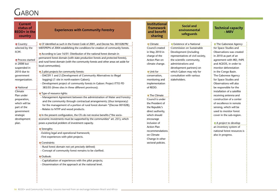# $G$ ABON

| <b>Current</b><br>status of<br><b>Experiences with Community Forestry</b><br><b>REDD+</b> in the<br>country                                                                                                                                                                                                                                                                                                                                                                                                                                                                                                                                                                                                                                                                                                                                                                                                                                                                                                                                                                                                                                                                                                                                                                                                                                                                                                                                                                                                                                                                                                                                                                                                                                                                                                                                                                                                                                                                                  |
|----------------------------------------------------------------------------------------------------------------------------------------------------------------------------------------------------------------------------------------------------------------------------------------------------------------------------------------------------------------------------------------------------------------------------------------------------------------------------------------------------------------------------------------------------------------------------------------------------------------------------------------------------------------------------------------------------------------------------------------------------------------------------------------------------------------------------------------------------------------------------------------------------------------------------------------------------------------------------------------------------------------------------------------------------------------------------------------------------------------------------------------------------------------------------------------------------------------------------------------------------------------------------------------------------------------------------------------------------------------------------------------------------------------------------------------------------------------------------------------------------------------------------------------------------------------------------------------------------------------------------------------------------------------------------------------------------------------------------------------------------------------------------------------------------------------------------------------------------------------------------------------------------------------------------------------------------------------------------------------------|
| ■ CF identified as such in the Forest Code of 2001, and Decree No. 001028/PR/<br>$\blacksquare$ Country<br>selected by the<br>MEFEPEPN of 2004 establishing the conditions for creation of community forests.<br>FCPF.<br>According to Law 16/01: Distribution of the national forest domain in<br>permanent forest domain (with state production forests and protected forests),<br><b>■</b> Process started<br>and rural forest domain (with the community forests and other areas set aside for<br>in 2008 but<br>local communities).<br>suspended in<br>2010 due to<br>$\blacksquare$ 2 pilot projects for community forests:<br>- DACEFI 1 and 2 (Development of Community Alternatives to illegal<br>government<br>logging) (1 site in north-eastern Gabon);<br>reorganization.<br>- Development project of community forests in Gabon: Project ITTO PD<br>383/05 (three sites in three different provinces).<br><b>National</b><br>Climate<br>$\blacksquare$ Type of resource rights:<br>Plan under<br>- Management Agreement between the administration of Water and Forestry<br>preparation,<br>and the community through contractual arrangements; (thus temporary)<br>which will be<br>for the management of a portion of rural forest domain "(Decree 001028);<br>part of the<br>- Relates to NTFP and wood products.<br>government<br>strategic<br>In the present configuration, the CFs do not receive benefits ("the socio-<br>development<br>economic investments must be supported by the communities" art. 251), which<br>poses a practical problem of investment capacity.<br>plan.<br>$\blacksquare$ Strengths:<br>-Existing legal and operational framework;<br>-First experiences with pilot projects.<br>Constraints:<br>- Rural forest domain not yet precisely defined;<br>- Concept of community forest remains to be clarified.<br>Outlook:<br>- Capitalization of experiences with the pilot projects;<br>- Dissemination of the approach at the national level. |

#### **Institutional framework and benefit sharing**

**Climate** Council created in May 2010 in charge of the Action Plan on climate change. ■ Unit for conservation, monitoring and implementation of REDD.

■ The Climate Council is under the President of the Republic's direct authority, which should encourage inclusion of Action Plan recommendations on Climate Change in other sectoral policies.

**Social and environmental safeguards**

**Existence of a National** Commission on Sustainable Development (including representatives of civil society, the scientific community, administrations and development partners) on which Gabon may rely for consultation with various

stakeholders.

**Technical capacity - MRV**

**The Gabonese Agency** for Space Studies and Observations was created in 2010 as part of an agreement with IRD, INPE and AGEOS, in order to monitor deforestation in the Congo Basin. The Gabonese Agency for Space Studies and Observations will also be responsible for the installation of a satellite receiving antenna and construction of a center of excellence in remote sensing, which will be used to monitor forest cover in the sub-region.

A project to develop an inventory system of national forest resources is also in progress.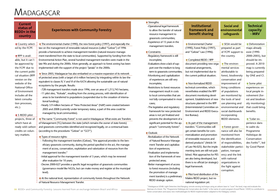# **MADAGASCAR**

| <b>Current</b><br>status of<br><b>REDD+</b> in the<br>country                                                                                                                                                                                                                                                                                                                                                                                         | <b>Experiences with Community Forestry</b>                                                                                                                                                                                                                                                                                                                                                                                                                                                                                                                                                                                                                                                                                                                                                                                                                                                                                                                                                                                                                                                                                                                                                                                                                                                                                                                                                                                                                                                                                                                                                                                                                                                                                                                                                                                                                                                                                                                                                                                                                                                                                                                                                                                                                                                                                                                | $\blacksquare$ Strengths:<br>-Operational legal framework<br>to allow the transfer of natural<br>resource management to<br>grassroots communities;                                                                                                                                                                                                                                                                                                                                                                                                                                                                                                                                                                                                                                                                                                                                                                                                                                                                                        | <b>Institutional</b><br>framework and<br>benefit sharing                                                                                                                                                                                                                                                                                                                                                                                                                                                                                                                                                                                                                                                                                                                                                                                                                                                                                                                          | <b>Social and</b><br>environmental<br>safeguards                                                                                                                                                                                                                                                                                                                                                                                                                                                                                                                                                                                              | <b>Technical</b><br>capacity<br>- MRV                                                                                                                                                                                                                                                                                                                                                                                                                                        |
|-------------------------------------------------------------------------------------------------------------------------------------------------------------------------------------------------------------------------------------------------------------------------------------------------------------------------------------------------------------------------------------------------------------------------------------------------------|-----------------------------------------------------------------------------------------------------------------------------------------------------------------------------------------------------------------------------------------------------------------------------------------------------------------------------------------------------------------------------------------------------------------------------------------------------------------------------------------------------------------------------------------------------------------------------------------------------------------------------------------------------------------------------------------------------------------------------------------------------------------------------------------------------------------------------------------------------------------------------------------------------------------------------------------------------------------------------------------------------------------------------------------------------------------------------------------------------------------------------------------------------------------------------------------------------------------------------------------------------------------------------------------------------------------------------------------------------------------------------------------------------------------------------------------------------------------------------------------------------------------------------------------------------------------------------------------------------------------------------------------------------------------------------------------------------------------------------------------------------------------------------------------------------------------------------------------------------------------------------------------------------------------------------------------------------------------------------------------------------------------------------------------------------------------------------------------------------------------------------------------------------------------------------------------------------------------------------------------------------------------------------------------------------------------------------------------------------------|-------------------------------------------------------------------------------------------------------------------------------------------------------------------------------------------------------------------------------------------------------------------------------------------------------------------------------------------------------------------------------------------------------------------------------------------------------------------------------------------------------------------------------------------------------------------------------------------------------------------------------------------------------------------------------------------------------------------------------------------------------------------------------------------------------------------------------------------------------------------------------------------------------------------------------------------------------------------------------------------------------------------------------------------|-----------------------------------------------------------------------------------------------------------------------------------------------------------------------------------------------------------------------------------------------------------------------------------------------------------------------------------------------------------------------------------------------------------------------------------------------------------------------------------------------------------------------------------------------------------------------------------------------------------------------------------------------------------------------------------------------------------------------------------------------------------------------------------------------------------------------------------------------------------------------------------------------------------------------------------------------------------------------------------|-----------------------------------------------------------------------------------------------------------------------------------------------------------------------------------------------------------------------------------------------------------------------------------------------------------------------------------------------------------------------------------------------------------------------------------------------------------------------------------------------------------------------------------------------------------------------------------------------------------------------------------------------|------------------------------------------------------------------------------------------------------------------------------------------------------------------------------------------------------------------------------------------------------------------------------------------------------------------------------------------------------------------------------------------------------------------------------------------------------------------------------|
| Country select-<br>ed by the FCPF.<br>$\blacksquare$ RPP is avail-<br>able, but it can't<br>be approved by<br>the FCPF due to<br>the current politi-<br>cal situation (RPP<br>version on the<br>website of the<br><b>National Office</b><br>of Environment<br>includes all the<br>latest consulta-<br>tion processes,<br>$etc.$ ).<br>5 REDD pilot<br>projects, three of<br>which have al-<br>ready sold carbon<br>credits on volun-<br>tary markets. | The environmental charter (1990), the new forest policy (1997), and especially the<br>law on the management of renewable natural resources (called "Gelose") of 1996<br>provide a framework to achieve management transfers (natural resource manage-<br>ment transferred from the state to local communities). Supported by funding from the<br>Environmental Action Plan, several hundred management transfers were made in the<br>late 90s and during the 2000s. More generally, an approach to forest zoning has been<br>implemented with the support of the project "Jariala" in the 2000s.<br>Since 2003, Madagascar has also embarked on a massive expansion of its network<br>of protected areas (with a target of 6 million hectares) by integrating within its law the<br>equivalent to classes IV, V and VI of the IUCN allowing the sustainable use of natural<br>ecosystems by the people. Results:<br>-728 management transfers made since 1996, over an area of 1,213,743 hectares;<br>-11 pilot sites, "Koloala", resulting from the zoning process, with identification of<br>areas to be transferred to populations (suspended due to the cessation of interna-<br>tional funding);<br>-Nearly 3.9 million hectares of "New Protected Areas" (NAP) were created between<br>2005 and 2008 (currently under temporary status, a part of this area could be<br>managed by local communities).<br>The name "Community Forest" is not used in Madagascar. What exists are Transfers<br>of Management (TG) between the state (which remains the owner of state forests)<br>and grassroots communities identified and recognized legally, on a contractual basis<br>(according to the procedures "Gelose" or "GCF").<br>Types of resource rights:<br>- Following the management transfers (Gelose), "the approval provides to the ben-<br>eficiary grassroots community, during the period specified in the act, the manage-<br>ment of access, conservation, exploitation and valorization of resources from the<br>management transfer;"<br>-Initial approval for the management transfer of 3 years, which may be renewed<br>after evaluation for 10 years;<br>-Decree 2000-027 provides a specific legal recognition of grassroots communities<br>(governance model like NGOs, but can make money and register at the municipal<br>level). | -Experience of 15 years in the<br>management transfers.<br>■ Constraints:<br>-Regulatory framework is still<br>incomplete;<br>- Evaluations show a lack of sup-<br>port over the medium to long<br>term to grassroots communities;<br>-Monitoring and capitalization<br>of experiences are still very<br>incomplete;<br>-Restrictions to forest resources<br>management result in costs<br>to local communities that are<br>not fully compensated in most<br>cases;<br>-The legislative and regulatory<br>framework for new protected<br>areas is not yet finalized and<br>prevents the development of a<br>significant potential for the ap-<br>proach "community forests".<br>Outlook:<br>-Revitalization of the Network<br>of Natural Resource Manage-<br>ment Transfer and capitaliza-<br>tion of experiences;<br>-Finalization and implementa-<br>tion of the framework of new<br>protected areas;<br>-Better management of access<br>to forest resources (including<br>the promotion of manage-<br>ment transfers) is a preliminary | Environmental Charter<br>(1990), Forest Policy (1997),<br>and "Gelose" Law (1996).<br>Completed REDD / RPP<br>document providing new orga-<br>nizational arrangements,<br>but not implemented due to<br>the current political situation.<br>Non-formalized REDD<br>technical committee, which<br>nevertheless enabled the RPP<br>document monitoring devel-<br>opment. Establishment of new<br>structures planned in the RPP<br>(Interministerial Committee on<br>Environment and REDD Execu-<br>tive Bureau).<br>$\blacksquare$ As part of the management<br>transfers: "Communities will<br>get certain benefits for com-<br>mercialization and promotion<br>of renewable resources and<br>derived products" (Article 54<br>of Law 96-025). But the imple-<br>menting texts are still not pub-<br>lished. Pilot approaches for PES<br>are also being developed, but<br>there is no official (or strategic)<br>legal framework.<br>$\blacksquare$ Pilot fund distribution of the | SESA would be<br>prepared as part<br>of FCPF support to<br>the country.<br>$\blacksquare$ The environ-<br>mental services<br>attributable to<br>forest, biodiversity<br>conservation and<br>improvement of<br>living conditions<br>of populations<br>are monitored by<br>the tools of land<br>use planning and<br>environmental and<br>social dashboards<br>incorporating<br>REDD elements.<br>Forest gover-<br>nance will also be<br>monitored from<br>the identification<br>of responsibilities,<br>stakeholder partici-<br>pation, transpar-<br>ency and the link<br>with national<br>organizations in<br>the fight against<br>corruption. | Deforestation<br>maps already<br>exist (1990-<br>2000-2005), but<br>should be im-<br>proved. A 2010<br>map is currently<br>being prepared<br>by ONE and CI.<br>$\blacksquare$ Some pilot<br>experiences on<br>local people in-<br>volvement (for-<br>est and biodiver<br>sity monitoring)<br>that could bring<br>benefits.<br>$\blacksquare$ "Lidar ex-<br>perience dans<br>le cadre du<br>Programme<br>Holistique de<br>Conservation<br>des Forêts"7, led<br>by Good Planet |
|                                                                                                                                                                                                                                                                                                                                                                                                                                                       | At the national level, representation of community forests throughout the Network<br>of Natural Resource Management Transfer.                                                                                                                                                                                                                                                                                                                                                                                                                                                                                                                                                                                                                                                                                                                                                                                                                                                                                                                                                                                                                                                                                                                                                                                                                                                                                                                                                                                                                                                                                                                                                                                                                                                                                                                                                                                                                                                                                                                                                                                                                                                                                                                                                                                                                             | REDD strategic option.                                                                                                                                                                                                                                                                                                                                                                                                                                                                                                                                                                                                                                                                                                                                                                                                                                                                                                                                                                                                                    | Makira REDD project, but no<br>national regulation yet.                                                                                                                                                                                                                                                                                                                                                                                                                                                                                                                                                                                                                                                                                                                                                                                                                                                                                                                           |                                                                                                                                                                                                                                                                                                                                                                                                                                                                                                                                                                                                                                               |                                                                                                                                                                                                                                                                                                                                                                                                                                                                              |

7 Madagascar LIDAR: Light Detection And Ranging: remote sensing technique using an airborn laser to "scan" the land, map and evaluate the biomass of a forest. The "Programme Holistique de Conservation des Forêts" is the name of a joint program (Good Planet / WWF) to contribute to forest conservation and assess new methodologies for REDD implementation adapted to the Malagasy context.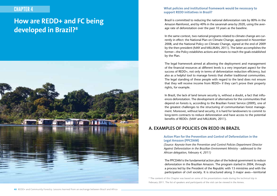# CHAPTER 4

# **How are REDD+ and FC being developed in Brazil?8**



#### **What policies and institutional framework would be necessary to support REDD initiatives in Brazil?**

Brazil is committed to reducing the national deforestation rate by 80% in the Amazon Rainforest, and by 40% in the savannah area by 2020, using the average rate of deforestation over the past 10 years as the baseline.

In the same context, two national programs related to climate change are currently in effect: the National Plan on Climate Change, approved in November 2008, and the National Policy on Climate Change, signed at the end of 2009 by the then president (MAY and MILLIKAN, 2011). The latter accomplishes the former—the Policy establishes actions and means to reach the goals established by the Plan.

The legal framework aimed at allowing the deployment and management of the financial resources at different levels is a very important aspect for the success of REDD+, not only in terms of deforestation reduction efficiency, but also as a helpful tool to manage forests that shelter traditional communities. The legal standing of these people with regard to the land does not ensure that they will receive income from REDD+ if they can't prove their property rights, for example.

In Brazil, the lack of land tenure security is, without a doubt, a fact that influences deforestation. The development of alternatives for the communities that depend on forests is, according to the Brazilian Forest Service (2009), one of the greatest challenges to the structuring of communitarian forest management. Moreover, without land security, it is hard for landowners to commit to long-term contracts to reduce deforestation and have access to the potential benefits of REDD+ (MAY and MILLIKAN, 2011).

## **A. EXAMPLES OF POLICIES ON REDD IN BRAZIL**

#### **Action Plan for the Prevention and Control of Deforestation in the Legal Amazon (PPCDAM)**

*(Source: Keynote from the Prevention and Control Policies Department Director Against Deforestation in the Brazilian Environment Ministry - addressed to the African delegation, February 4, 2011)*

The PPCDAM is the fundamental action plan of the federal government to reduce deforestation in the Brazilian Amazon. The program started in 2004, through a process led by the President of the Republic with 13 ministries and with the participation of civil society. It is structured along 3 major axes—territorial

<sup>8</sup> The content of this Chapter was based on some of the presentations made during the technical trip in February 2011. The list of speakers and participants of the visit can be viewed in the Annex.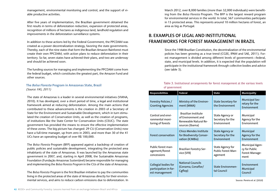management, environmental monitoring and control, and the support of viable productive activities.

After five years of implementation, the Brazilian government obtained the first results in terms of deforestation reduction, expansion of protected areas, recognition of millions of hectares as indigenous land, landhold regulation and improvements in the deforestation surveillance systems.

In addition to these actions led by the Federal Government, the PPCDAM was created as a power decentralization strategy, favoring the state governments. Thereby, each of the nine states that form the Brazilian Amazon Rainforest must create their own PPCDAM, with action plans to reduce deforestation in their territory. So far, seven states have achieved their plans, and two are underway and should be achieved soon.

The funding sources for managing and implementing the PPCDAM come from the federal budget, which constitutes the greatest part, the Amazon Fund and other sources.

#### **The** *Bolsa Floresta* **Program in Amazonas State, Brazil**  *(Source: FAS, 2011)*

The state of Amazonas is a leader in several environmental initiatives (VIANA, 2010). It has developed, over a short period of time, a legal and institutional framework aimed at reducing deforestation. Among the main actions that contributed to these advancements is the creation in 2003 of a Secretary of State for the Environment and Sustainable Development, which in turn stimulated the creation of Conservation Units, as well as the creation of programs, of institutions like the State Center for Conservation Units (CEUC). The state government has provided the means to ensure the effective implementation of these zones. The big picture has changed: 29 CU (Conservation Units) now have a full-time manager, up from zero in 2003, and more than 30 of the 41 UCs have an operating budget of over R\$ 100,000.

The *Bolsa Floresta* Program (BFP) appeared against a backdrop of creation of public policies and sustainable development, integrating the protected area inhabitants of the state of Amazonas. It was launched by the Amazonas state government in 2007, and, starting in April 2008, the Sustainable Amazonas Foundation (Fundação Amazonas Sustentável) became responsible for managing and implementing the *Bolsa Floresta Program* in the CUs of the state of Amazonas.

The *Bolsa Floresta Program* is the first Brazilian initiative to pay the communities living in the protected areas of the state of Amazonas directly for their environmental services, and aims to reduce carbon emissions due to deforestation. In March 2012, over 8,000 families (more than 32,000 individuals) were benefiting from the *Bolsa Floresta* Program. The BFP is the largest reward program for environmental services in the world. In total, 567 communities participate in 15 protected areas. This represents around 10 million hectares of forest, an area as big as Portugal.

## **B. EXAMPLES OF LEGAL AND INSTITUTIONAL FRAMEWORKS FOR FOREST MANAGEMENT IN BRAZIL**

Since the 1988 Brazilian Constitution, the decentralization of the environmental policies has been growing as a true trend (CGEE, IPAM and SAE, 2011). Forest management is divided among different levels of government—federal, state, and municipal levels. In addition, it is expected that the population will participate in the institutional framework through collective bodies and advice (see table 3).

#### **Table 3. Institutional arrangements for forest management at the various levels of government**

| <b>Responsibilities</b>                                         | Federal                                                                                      | <b>State</b>                                                    | Municipality                                                      |
|-----------------------------------------------------------------|----------------------------------------------------------------------------------------------|-----------------------------------------------------------------|-------------------------------------------------------------------|
| Forestry Policies /<br><b>Granting Agencies</b>                 | Ministry of the Environ-<br>ment (MMA)                                                       | <b>State Secretary for</b><br>the Environment                   | <b>Municipal Sec-</b><br>retary for the<br>Environment            |
| Control and envi-<br>ronmental moni-<br>toring of forests       | <b>Brazilian Institute</b><br>of Environment and<br>Renewable Natural Re-<br>sources (Ibama) | State Agency or<br>Secretary for the<br>Environment             | Municipal<br>Agency for the<br>Environment                        |
| Forest conservation                                             | <b>Chico Mendes Institute</b><br>for Biodiversity Conser-<br>vation (ICMBio)                 | <b>State Agency or</b><br>Secretary for the<br>Environment      | Municipal<br>Agency for the<br>Environment                        |
| Public forest man-<br>agement/forest<br>concessions             | Brazilian Forestry Ser-<br>vice (SFB)                                                        | <b>State Agency for</b><br><b>Public Forest Man-</b><br>agement | <b>Municipal Agen-</b><br>cy for Public<br>Forest Manage-<br>ment |
| Collegial bodies for<br>participation in for-<br>est management | <b>National Councils</b><br>(Conama, Conaflor/<br>Cgflop)                                    | <b>State Environmen-</b><br>tal Council                         | Environment<br>Municipal<br>Council                               |

Source: Pereira et al. (2010)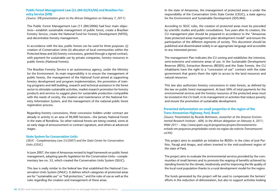#### **Public Forest Management Law (11.284 02/03/06) and Brazilian Forestry Service (SFB)**

*(Source: SFB presentation given to the African Delegation on February 7, 2011)*

The Public Forest Management Law (11.284/2006) had four main objectives—establish sustainable management of public forest, create a Brazilian Forestry Service, create the National Fund for Forestry Development (NFFD), and decentralize forestry management.

In accordance with the law, public forests can be used for three purposes: (i) creation of Conservation Units (ii) allocation of local communities within the Protected Areas and (iii) forestry concessions, granted through a signed contract, with payment for sustainable use by private companies, forestry resources in public forests (National Forests).

The Brazilian Forestry Service is an autonomous agency, under the Ministry for the Environment. Its main responsibility is to ensure the management of public forests, the management of the National Fund aimed at supporting forestry development and program implementation, the promotion of training programs and skill building, research and technical assistance in the forest sector to stimulate sustainable activities, market research promotion for forestry products and services to suggest plans for sustainable production compatible with the needs of society, the creation and maintenance of the National Forestry Information System, and the management of the national public forest registration process.

Regarding forestry concessions, three concession holders under contract are already in activity in an area of 96,000 hectares—the Jamary National Forest in the state of Rondônia. Six other national forests are being created, some at an early stage of announcement or contract signature, and others at advanced stages.

#### **State System for Conservation Units**

*(SEUC - Complementary Law 53/2007) and the State Center for Conservation Units (CEUC)*

In June 2007, the state of Amazonas revised its legal framework on public forest management, adopting specific legislation for the Conservation Units—complementary law no. 53, which created the Conservation Units System (SEUC).

This law is really similar to the federal law that established the National Conservation Units System (SNUC). It defines which categories of protected areas are for "sustainable use" or "full protection," and the rules of use as well as the rules regarding the creation and management of these areas.

In the state of Amazonas, the management of protected areas is under the responsibility of the Conservation Units State Center (CEUC), a state agency for the Environment and Sustainable Development (SDS/AM).

According to SEUC rules, the creation of protected areas must be preceded by scientific studies and public consultations. Two years after its creation, the CU management plan should be prepared in accordance to the "Amazonas State protected areas management plan development model" and ensure the participation of the different segments of society. This document should be published and disseminated widely in an appropriate language and accessible to any interested person.

The management Plan indicates the CU zoning and establishes the intensive, semi-extensive and extensive areas of use. In the Sustainable Development Reserves (RDS), Extraction Reserves (RESEX) and the State Forests, the CU inhabitants have the right to a "concession of use" contract with the state government that grants them the right to access to the land resources and natural resources.

This law also authorizes forestry concessions in state forests, as defined by the law on public forest management. At least 50% of total payments for the environmental services and the forestry resources of the protected areas must be invested in the CU itself, in its management or activities that reduce poverty and ensure the promotion of sustainable development.

#### **Prevented deforestation on small properties in the region of the Trans-Amazonian Highway, Pará, Brazil**

*(Source: Presentation by Ricardo Rettmann, researcher at the Amazon Environmental Research Institute - AERI, to the African delegation on February 4, 2011; IPAM 2011 – http://www.ipam.org.br/programas/projeto/Desmatamentoevitado-em-pequenas-propriedades-rurais-na-regiao-da-rodovia-Transamazonica/46)*

This project aims to establish an initiative for REDD+ in the cities of José Porfirio, Pacajá and Anapu, and others inserted in the mid-southwest region of the state of Pará.

The project aims to evaluate the environmental services provided by the communities of small farmers and to promote the reaping of benefits achieved by standing forests for the climate, biodiversity and for improving the life quality of the local rural population thanks to a rural development model for the region.

The funds generated by the project will be used to compensate the farmers' efforts in the reduction of deforestation, but also to support activities looking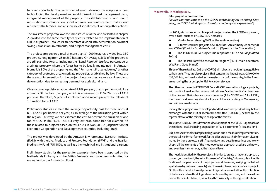to raise productivity of already opened areas, allowing the adoption of new technologies, the development and establishment of forest management plans, integrated management of the property, the establishment of land tenure registration and clarification, social organization reinforcement that indeed represents the families, and an increase of social control, among other actions.

The investment project follows the same structure as the one presented in chapter 2, divided into the same three types of costs related to the implementation of a REDD+ project. Total costs are therefore divided into deforestation payment savings, transition investments, and project management costs.

The project area covers a total of more than 31,000 hectares, divided into 350 properties, ranging from 25 to 250 hectares. On average, 55% of the properties are still standing forests, including the "Legal Reserve" (surface percentage of a private property where the forest has to be legally maintained—in Amazon biome it is 80% of the property) and the "Permanent Protected Areas," another category of protected area on private properties, established by law. These are the areas of intervention for the project, because they are more vulnerable to deforestation due to increasing demand for agricultural land.

Given an average deforestation rate of 4.8% per year, the properties would lose around 2.39 hectares per year, which is equivalent to 1107.26 tons of CO2 per year. Therefore, 5 years of implementation would prevent the release of 1.8 million tons of CO2.

Preliminary studies estimate the average opportunity cost for these lands at BRL 182.50 per hectare per year, as an average of the utilization profit within the region. This way, we can estimate the cost to prevent the emission of one ton of CO2 as BRL 4.05. This is a very low cost, compared for example, to those related to projects based on fossil fuels in Non-OECD (Organization for Economic Cooperation and Development) countries, including Brazil.

The project was developed by the Amazon Environmental Research Institute (IPAM), with the Live, Produce and Preserve Foundation (PPVF) and the Brazilian Biodiversity Fund (FUNBIO), as well as other technical and institutional partners.

Preliminary studies for the project for example—have been supported by the Netherlands Embassy and the British Embassy, and have been submitted for evaluation by the Amazonian Fund.

#### **Meanwhile, in Madagascar...**

#### **Pilot projects coordination**

*(Source: communications on the REDD+ methodological workshop, Sept. 2009, and "REDD Madagascar: Inventory and ongoing experiences")*

IIn 2009, Madagascar had five pilot projects using the REDD+ approach, over a total surface of 1,762,400 hectares.

■ Makira Forest (having WCS as the main operator)

■ 2 forest corridor projects CAZ (Corridor Ankeniheny-Zahamena) and COFAV (Corridor Fandriana-Vondroz) (Operator InterCooperation)

■ The REDD FORECA project (main operator: GTZ and *Coopération Suisse*)

 The Holistic Forest Conservation Program (HCPF: main operators: WWF and Good Planet)

Three of these (Makira, CAZ and COFAV) aim directly at obtaining negotiable carbon units. They are also projects that concern the largest areas (240,000 to 425,000 Ha), and are located in the eastern part of the country, in the forest areas having the largest potential for carbon storage.

The other two projects (REDD FORECA and HCPF) are methodological projects, with no direct goal for the commercialization of "carbon credits" at this stage of the process. Their sites are more numerous (7 for COFAV and 5 for HCPF), more scattered, covering almost all types of forests existing in Madagascar, and within a smaller area.

Initially, these projects were developed and led in an independent way, before exchanges with the REDD+ Technical Committee (TCREDD+), headed by the representative of the ministry in charge of the forests.

This same TCREDD+ has driven the development of the REDD+ approach at the national level, including preparation of FCPF documents (R-PIN and RPP).

But, because of the lack of specific legislation and a means of implementation, there is still no formal framework for the pilot projects. The information disseminated by these projects is still fragmentary, and despite meetings and workshops, all the elements of the methodological approach used are unknown, and even less harmonious, at the national level.

The needs identified for these projects in order to create a national approach, concern, on one hand, the establishment of a "registry," allowing clear identification of the perimeters of the projects (and therefore, verifying the lack of spatial overlay between projects), and the main characteristics of each project. On the other hand, a formal process of capitalization will allow the collection of technical and methodological elements used by each one, and the evaluation of the results obtained, as well as the possibility of their generalization.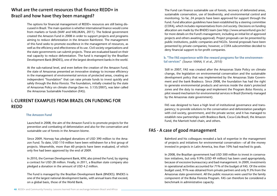## **What are the current resources that finance REDD+ in Brazil and how have they been managed?**

The options for financial management of REDD+ resources are still being discussed in Brazil. The main question is whether international finance would come from markets or funds (MAY and MILLIKAN, 2011). The federal government created the Amazon Fund in 2008 in order to support projects and programs aiming to reduce deforestation in the Amazon Rainforest. The management of this fund seeks to promote excellence in the management of resources, as well as the efficiency and effectiveness of its use. Civil society organizations and the state governments can submit projects. These are evaluated based on their real capacity to reduce deforestation. The fund is managed by the Brazilian Development Bank (BNDES), one of the largest development banks in the world.

At the sub-national level, and even before the creation of the Amazon Fund, the state of Amazonas presented an innovative strategy to increase efficiency in the management of environmental services of protected areas, creating an independent "foundation" that can raise private funds to invest quickly and safely through the *Bolsa Floresta*. The foundation, initially created by the state of Amazonas Policy on climate change (law no. 3.135/2007), was later called the Amazonas Sustainable Foundation (FAS).

## **i. CURRENT EXAMPLES FROM BRAZIL ON FUNDING FOR REDD**

#### **The Amazon Fund**

Launched in 2008, the aim of the Amazon Fund is to promote projects for the prevention and combating of deforestation and also for the conservation and sustainable use of forests in the Amazon biome.

Since 2009, Norway has pledged donations of USD 390 million to the Amazon Fund. To date, USD 110 million have been withdrawn for a first group of projects. Meanwhile, more than 60 projects have been evaluated, of which only five had been approved by the end of 2009.

In 2010, the German Development Bank, KfW, also joined the Fund, by signing a contract for USD 28 million. Finally, in 2011, a Brazilian state company also pledged a donation in the amount of USD 4.2 million.

The Fund is managed by the Brazilian Development Bank (BNDES). BNDES is one of the largest national development banks, with annual loans that exceed, on a global basis, those of the World Bank.

The Fund can finance sustainable use of forests, recovery of deforested areas, sustainable conservation, use of biodiversity, and environmental control and monitoring. So far, 24 projects have been approved for support through the Fund. Fund allocation guidelines have been established by a steering committee (COFA), which includes representatives from civil society. Decisions on funding allocation are made by the BNDES team (see http://www.amazonfund.gov.br/ for more details on the Fund's management, including an initial list of approved projects and others awaiting approval). Project proposals can be presented by public institutions, public companies and NGOs. Several proposals have been presented by private companies; however, a COFA subcommittee decided to deny financial support to for-profit companies.

#### **b. "The FAS experience with the reward programs for the environmental services"** *(Source: VIANA, V. et al., 2010)*

Still in 2007, FAS was created after the Amazonas State Policy on climate change, the legislation on environmental conservation and the sustainable development policy that was implemented by the Amazonas State Government and the bank Bradesco. Since 2008, the foundation has had the right to generate environmental products and services inside the state's protected zones and the duty to manage and implement the Program *Bolsa Floresta*, a pilot reward mechanism for environmental services in Brazil (formerly managed by the Amazonas state government).

FAS was designed to have a high level of institutional governance and transparency; to provide solutions to the conservation and deforestation paradigm with civil society, government, and the private sector; and it has managed to establish new partnerships with Bradesco Bank, Coca-Cola Brazil, the Amazon Fund, the Marriott hotel chain, and others.

## **FAS - A case of good management**

Balmford and his colleagues revealed a lack of expertise in the management of projects and initiatives for environmental conservation—of all the money invested in projects in Latin America, less than 10% had reached its goals.

In 2008, the Brazilian government had USD 500 million to invest in conservation initiatives, but only 9.9% (USD 49 million) has been used appropriately, because of excessive bureaucracy and bad management. In 2009, investments in operational activities accounted for 71% of the budget of FAS. Of the entire budget used, 91% was obtained from private partners and only 9.3% from the Amazonas state government. All the public resources were used for the family component of the Bolsa Floresta Program. FAS can therefore be considered a benchmark in administrative capacity.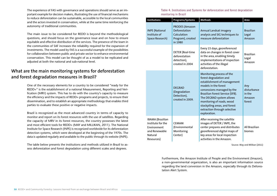The experience of FAS with governance and operations should serve as an important example for decision makers, illustrating the use of financial mechanisms to reduce deforestation can be sustainable, accessible to the local communities and the actors invested in conservation, while at the same time reinforcing the autonomy of traditional communities.

The main issue to be considered for REDD is beyond the methodological questions, and should focus on the governance issue and on how to ensure equitable and effective distribution of the services. The presence of the team in the communities of SAF increases the reliability required for the expansion of investments. The model used by FAS is a successful example of the possibilities for collaboration between public and private sector to enhance environmental conservation. This model can be thought of as a model to be replicated and adjusted at both the national and sub-national level.

## **What are the main monitoring systems for deforestation and forest degradation measures in Brazil?**

One of the necessary elements for a country to be considered "ready for the REDD+" is the establishment of a national Measurement, Reporting and Verification (MRV) system. This has to do with the country's capacity to measure the efficiency and the impacts of REDD+ programs and projects, to ensure their dissemination, and to establish an appropriate methodology that enables third parties to evaluate these positive or negative impacts.

Brazil is recognized as the most advanced country in terms of capacity to monitor and report on its forest resources with the use of satellites. Regarding the capacity of MRV in its forest resources, the country possesses the latest and most efficient tools for REDD+ (MAY and MILLIKAN, 2011). The National Institute for Space Research (INPE) is recognized worldwide for its deforestation detection systems, which were developed at the beginning of the 1970s. The data is updated regularly and available to the public through its website (INPE).

The table below presents the institutions and methods utilized in Brazil to assess deforestation and forest degradation using different scales and degrees.

#### **Table 4. Institutions and Systems for deforestation and forest degradation monitoring in Brazil**

| <b>Institutions</b>                                                                            | Programs/Systems                                                                      | <b>Methods</b>                                                                                                                                                                                                                                                                                                        | Area                                             |
|------------------------------------------------------------------------------------------------|---------------------------------------------------------------------------------------|-----------------------------------------------------------------------------------------------------------------------------------------------------------------------------------------------------------------------------------------------------------------------------------------------------------------------|--------------------------------------------------|
| <b>INPE</b> (National<br>Institute of<br>Space Research)                                       | <b>PRODES</b> (Amazon<br>Deforestation<br>Calculation<br>Program), created<br>in 1980 | Annual Landsat imagery<br>analysis and SIG techniques to<br>measure deforestation                                                                                                                                                                                                                                     | <b>Brazilian</b><br>Legal<br>Amazon              |
|                                                                                                | DETER (Real-time<br>deforestation<br>detection),<br>created in 2004                   | Every 15 days, georeferenced<br>data on changes in forest cover<br>in the area, enabling timely<br>implementations of inspection<br>activities of the illegal<br>deforestation.                                                                                                                                       | <b>Brazilian</b><br>Legal<br>Amazon              |
|                                                                                                | <b>DEGRAD</b><br>(Degradation<br>Detection),<br>created in 2009.                      | Monitoring process of the<br>forest degradation and<br>establishment of management<br>models in the forest<br>concessions managed by the<br>Brazilian Forest Service (SFB).<br>The DEGRAD system allows<br>monitoring of roads, wood<br>stockpiling areas, and forest<br>extraction through selective<br>exploration. | Any<br>disturbance<br>in the<br>Amazon<br>forest |
| IBAMA (Brazilian<br>Institute for the<br>Environment<br>and Renewable<br>Natural<br>Resources) | <b>CEMAM</b><br>(Environmental<br>Monitoring<br>Center)                               | After receiving the satellite<br>images of DETER / INPE, the<br>center prepares and distributes<br>georeferenced digital maps of<br>key areas for local inspection<br>activities in the Amazon.                                                                                                                       | All Brazilian<br>biomes                          |

Source: May and Milikan (2011)

Furthermore, the Amazon Institute of People and the Environment (Imazon), a non-governmental organization, is also an important information source regarding the land conversion in the Amazon, especially through its Deforestation Alert System.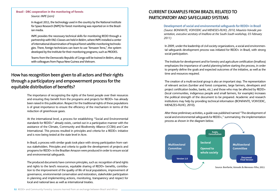#### **Brazil - DRC cooperation in the monitoring of forests** *Source: INPE (2011)*

In August 2011, the technology used in the country by the National Institute for Space Research (INPE) for forest monitoring was reported on in the Brazilian media.

INPE provides the necessary technical skills for monitoring REDD through a partnership with FAO. Classes are held in Belém, where INPE installed a center of international dissemination of tropical forest satellite monitoring technologies. There, foreign technicians can learn to use "Amazon Terra,", the system developed by the Institute for their monitoring programs, such as PRODES.

Teams from the Democratic Republic of Congo will be trained in Belém, along with colleagues from Papua New Guinea and Vietnam.

# **How has recognition been given to all actors and their rights through a participatory and empowerment process for the equitable distribution of benefits?**

The importance of recognizing the rights of the forest people over their resources and ensuring they benefit from the programs and projects for REDD+ has already been raised in this publication. Respect for the traditional rights of these populations is of great importance to ensure the efficiency of the mechanism in terms of the reduction of greenhouse gases.

At the international level, a process for establishing "Social and Environmental standards for REDD+" already exists, carried out in a participative manner with the assistance of the Climate, Community and Biodiversity Alliance (CCBA) and Care International. This process resulted in principles and criteria for a REDD+ initiative and is now being tested at the state level in Acre.

In Brazil, a process with similar goals took place with strong participation from various stakeholders. Principles and criteria to guide the development of projects and programs for REDD+ in the Brazilian Amazon were produced in order to ensure social and environmental safeguards.

The produced documents have common principles, such as: recognition of land rights and rights to the land's resources, equitable sharing of REDD+ benefits, contribution to the improvement of the quality of life of local populations, improvement of governance, environmental conservation and restoration, stakeholder participation in planning and implementing actions, monitoring, transparency and respect for local and national laws as well as international treaties.

## **CURRENT EXAMPLES FROM BRAZIL RELATED TO PARTICIPATORY AND SAFEGUARD SYSTEMS**

**Development of social and environmental safeguards for REDD+ in Brazil**  *(Source: BONFANTE, VOIVODIC and MENESES-FILHO, 2010; Mauricio Voivodic presentation, executive secretary of Imaflora at the South-South workshop, 03 February 2011)*

In 2009, under the leadership of civil society organizations, a social and environmental safeguards development process was initiated for REDD+ in Brazil, with strong social participation.

The Institute for development and for forestry and agriculture certification (Imaflora) emphasizes the importance of careful planning before starting the process, in order to properly define the goals and expected outcomes of the initiative, as well as the time and resources required.

The creation of a multi-sectoral group is also an important step. The representation of relevant sectors (lumber and forest companies, large farmers, developers and project certification bodies, banks, etc.) and those who may be affected by REDD+ (local communities, indigenous people and small farmers, for example) increases the political strength of the document to be prepared. Academic and research institutions may help by providing technical information (BONFANTE, VOIVODIC, MENEZES-FILHO, 2010).

After these preliminary activities, a guide was published named "The development of social and environmental safeguards for REDD+," summarizing the implementation process as shown in the diagram below.

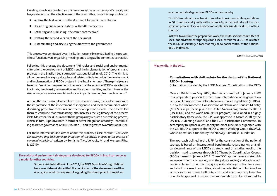Creating a well-coordinated committee is crucial because the report's quality will largely depend on the effectiveness of the committee, since it is responsible for:

- Writing the first version of the document for public consultation
- Organizing public consultations with different sectors
- Gathering and publishing the comments received
- Drafting the second version of the document
- $\blacksquare$  Disseminating and discussing the draft with the government

This process was conducted by an institution responsible for facilitating the process, whose functions were organizing meetings and acting as the committee secretariat.

Following this process, the document "Principles and social and environmental criteria for the development of REDD+ and the implementation of programs and projects in the Brazilian Legal Amazon" was published in July 2010. The aim is to allow the use of its eight principles and related criteria to quide the development and implementation of REDD+ projects in the Brazilian Amazon. These principles are based on "minimum requirements to ensure that the actions of REDD+ are effective in climate, biodiversity conservation and local communities, and to minimize the risks of negative environmental and social impacts resulting from such actions."

Among the main lessons learned from this process in Brazil, the leaders emphasize the importance of the involvement of indigenous and local communities when discussing protective measures and the development process. The process led them to conclude that transparency also increases the legitimacy of the process itself. Moreover, the discussion with the groups may require a pre-training process, which, in turn, is positive both in terms of better integration of society—contributing to better governance of REDD in Brazil—and to greater awareness of REDD+.

For more information and advice about the process, please consult: "*The Social Development and Environmental Protection of the REDD: a guide to the process of community building*," written by Bonfante, T.M., Voivodic, M. and Meneses Filho, L. (2010).

**The social and environmental safeguards developed for REDD+ in Brazil can serve as a model for other countries.**

> During a visit to Imaflora in June 2011, the NGO Republic of Congo National Resources Network stated that the publication of the aforementioned Brazilian guide would be very useful in guiding the development of social and

environmental safeguards for REDD+ in their country.

The NGO coordinates a network of social and environmental organizations in 50 countries and, jointly with civil society, is the facilitator of the construction process of social and environmental safeguards for REDD+ in their country.

In Brazil, to continue the preparation work, the multi-sectoral committee of social and environmental principles and social criteria for REDD+ has created the REDD Observatory, a tool that may allow social control of the national REDD initiatives.

(Source: IMAFLORA, 2011)

**Meanwhile, in the DRC...**

#### **Consultations with civil society for the design of the National REDD+ Strategy**

(information provided by the REDD National Coordination of the DRC)

Over an R-PIN from May 2008, the DRC committed in January 2009 to a preparation process for the future International arrangement on Reducing Emissions from Deforestation and forest Degradation (REDD+), run by the Environment, Conservation of Nature and Tourism Ministry (MECNT), in partnership with the United Nations program for the REDD (UN-REDD) and the World Bank (FCPF program). Developed in a highly participatory framework, the R-PP was approved in March 2010 by the UN-REDD Steering Council and the FCPF participants Committee. To accompany this process, civil society has since June 2009 organized with the CN-REDD support at the REDD Climate Working Group (RCWG), whose operation is funded by the Norway Rainforest Foundation.

The approach defined in the R-PP for the construction of the national strategy is based on international benchmarks regarding key analytical determinants of the REDD+ strategy, and on studies feeding the decision making process through 30 Thematic Coordination Groups (TCGs) formed in January 2011. These TCGs gather several stakeholders (government, civil society and the private sector) and each one is responsible for further discussing a specific strategic option for a year and a half on a select committee, about the potential contribution of an activity sector or theme to REDD+, costs, co-benefits and implementation challenges and providing recommendations to be submitted to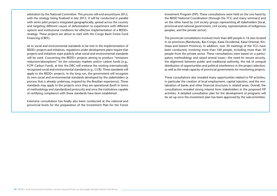arbitration by the National Committee. This process will end around June 2012, with the strategy being finalized in late 2012. It will be conducted in parallel with seven pilot projects integrated geographically, spread across the country and targeting different causes of deforestation to experiment with different options and institutional conditions for effective implementation of a REDD+ strategy. These projects are about to start with the Congo Basin Forest Fund Financing (CBFF).

As to social and environmental standards to be met in the implementation of REDD+ projects and initiatives, regulations under development plans require that projects and initiatives state publicly what social and environmental standards will be used. Concerning the REDD+ projects aiming to produce "emissions reduction/absorptions" for the voluntary markets and/or carbon funds (e.g., FCPF Carbon Fund), at first the DRC will endorse the existing internationally recognized social and environmental standards (e.g., CCB). These standards will apply to the REDD+ projects. In the long run, the government will recognize its own social and environmental standards developed by the stakeholders (a process that is already underway, inspired by the Brazilian experience). These standards may apply to the projects once they are operational (both in terms of methodology and standardized protocols) and once the institutions capable of certifying compliance with these standards have been established.

Extensive consultation has finally also been conducted at the national and provincial levels for the preparation of the Investment Plan for the Forest

Investment Program (FIP). These consultations were held on the one hand by the REDD National Coordination (through the TCG and many seminars) and on the other hand by civil society groups representing all stakeholders (local, provincial and national government, civil society, representatives of indigenous peoples, and the private sector).

The provincial consultations involved more than 600 people in 16 sites located in six provinces (Bandundu, Bas-Congo, Kasai Occidental, Kasai Oriental, Kinshasa and Eastern Province). In addition, over 30 meetings of the TCG have been conducted, involving more than 160 people, including more than 50 people from the private sector. These consultations were based on a participatory methodology and raised several issues—the need for tenure security, the alignment between public and traditional authority, the risk of unequal distribution of opportunities and political interference in the project selection, as well as the weak capacity of provincial governments for monitoring projects.

These consultations also revealed many opportunities related to FIP activities, in particular the creation of local employment, capital injection, and the revitalization of banks and other financial structures in related areas. Overall, the consultations revealed strong interest from stakeholders in the proposed FIP activities. A detailed consultation plan for the development of programs will be set up once the investment plan has been approved by the subcommittee.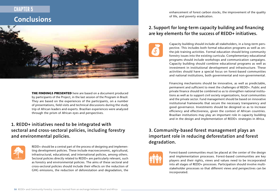# **CHAPTER 5**

**Conclusions**



**THE FINDINGS PRESENTED** here are based on a document produced by participants of the Project, in the last session of the Program in Brazil. They are based on the experiences of the participants, on a number of presentations, field visits and technical discussions during the study trip of African leaders and experts. Brazilian experiences were analyzed through the prism of African eyes and perspectives.

# **1. REDD+ initiatives need to be integrated with sectoral and cross-sectoral policies, including forestry and environmental policies.**



REDD+ should be a central part of the process of designing and implementing development policies. These include macroeconomic, agricultural, infrastructural, educational, and international policies, among others. Sectoral policies directly related to REDD+ are particularly relevant, such as forestry and environmental policies. The aims of these sectoral and cross-sectoral policies should include their effects on the reduction of GHG emissions, the reduction of deforestation and degradation, the

enhancement of forest carbon stocks, the improvement of the quality of life, and poverty eradication.

# **2. Support for long-term capacity building and financing are key elements for the success of REDD+ initiatives.**



Capacity building should include all stakeholders, in a long-term perspective. This includes both formal education programs as well as onthe-job training activities. Formal education should bring community forestry issues into the existing curricula. Complementary educational programs should include workshops and communication campaigns. Capacity building should combine educational programs as well as investment in institutional development and infrastructure. These activities should have a special focus on forest-based communities and national institutions, both governmental and non-governmental.

Financing mechanisms should be innovative, as well as predictable, permanent and sufficient to meet the challenges of REDD+. Public and private finance should be combined so as to strengthen national institutions as well as to support civil society organizations, local communities and the private sector. Fund management should be based on innovative institutional frameworks that secure the necessary transparency and good governance. Investments should be designed so as to increase efficiency and effectiveness, given the context of African countries. Brazilian institutions may play an important role in capacity building and in the design and implementation of REDD+ strategies in Africa.

# **3. Community-based forest management plays an important role in reducing deforestation and forest degradation.**



Forest-based communities must be placed at the center of the design and implementation processes. Forest-based communities are key players and their rights, views and values need to be incorporated into all stages of REDD+ processes. Participation should involve multistakeholder processes so that different views and perspectives can be incorporated.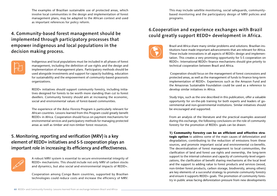The examples of Brazilian sustainable use of protected areas, which involve local communities in the design and implementation of forest management plans, may be adapted to the African context and used as important references for policy reform.

# **4. Community-based forest management should be implemented through participatory processes that empower indigenous and local populations in the decision making process.**



Indigenous and local populations must be included in all phases of forest management, including the definition of use rights and the design and implementation of management plans. Participatory methods should be used alongside investments and support for capacity building, education for sustainability and the empowerment of community-based grassroots organizations.

REDD+ initiatives should support community forestry, including initiatives designed for forests to be worth more standing than cut to forest dwellers. Community forestry should aim at increasing the economic, social and environmental values of forest-based communities.

The experience of the *Bolsa Floresta* Program is particularly relevant for African countries. Lessons learned from this Program could greatly benefit REDD+ in Africa. Cooperation should focus on payment mechanisms for environmental services and participatory methods for managing protected areas as well as timber and non-timber forest resources.

# **5. Monitoring, reporting and verification (MRV) is a key element of REDD+ initiatives and S-S cooperation plays an important role in increasing its efficiency and effectiveness.**



A robust MRV system is essential to secure environmental integrity of REDD+ mechanisms. This should include not only MRV of carbon stocks and dynamics, but also social and environmental impacts of REDD+.

Cooperation among Congo Basin countries, supported by Brazilian technologies could reduce costs and increase the efficiency of MRV. This may include satellite monitoring, social safeguards, communitybased monitoring and the participatory design of MRV policies and programs.

# **6.Cooperation and experience exchanges with Brazil could greatly support REDD+ development in Africa.**



Brazil and Africa share many similar problems and solutions. Brazilian institutions have made important advancements that are relevant for Africa. These include innovations in all aspects of REDD+ design and implementation. This creates a very promising opportunity for S-S cooperation on REDD+. International REDD+ finance mechanisms should give priority to technical cooperation between Brazil and Africa.

 Cooperation should focus on the management of forest concessions and protected areas, as well as the management of funds to finance long-term implementation of REDD+. Experiences such as the Amazon Fund and the Amazonas Sustainable Foundation could be used as a reference to develop similar initiatives in Africa.

Study trips, such as the one described in this publication, offer a valuable opportunity for on-the-job training for both experts and leaders of governmental and non-governmental institutions. Similar initiatives should be encouraged and supported.

From an analysis of the literature and the practical examples assessed during this exchange, the following conclusions on the role of community forestry for the promotion of REDD+ goals can be drawn:

#### **1) Community forestry can be an efficient and effective stra-**

**tegic option** to address some of the main causes of deforestation and degradation, contributing to the reduction of emissions from these sources, and promote important social and environmental co-benefits. The decentralization of forest management to local communities, the clarification of land and forest use rights and ownership, the long-term support to the internal cohesion and capacity of community-level organizations, the clarification of benefit sharing mechanisms at the local level and the support to adding value to forest products and services (wood, non-timber forest products, carbon storage, biodiversity, among others) are key elements of a successful strategy to promote community forestry and ensure it supports REDD+ goals. The promotion of community forestry in public areas facing deforestation pressure from new developments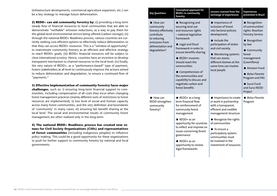(infrastructure developments, commercial agriculture expansion, etc.) can be a key strategy to manage future deforestation.

**2) REDD+ can aid community forestry by:** (i) providing a long-term steady flow of financial resources to local communities that are able to demonstrate "verifiable" emission reductions, as a way to pay them for the global-level environmental service being offered (carbon storage); (ii) through the national REDD+ Readiness process, various countries are currently seeking cost-efficient options to effectively reduce deforestation so that they can access REDD+ resources. This is a "window of opportunity" to mainstream community forestry as an efficient and effective strategy to reach REDD+ goals; (iii) REDD+ financial resources will be subject to close international scrutiny. Hence, countries have an incentive to develop transparent mechanism to channel resources to the local level; (iv) finally, the very nature of REDD+, as a "performance-based" type of payment, fosters stakeholders at all level to continuously improve the actions aimed to reduce deforestation and degradation, to ensure a continued flow of "payments."

**3) Effective implementation of community forestry faces major** 

**challenges**, such as: i) ensuring long-term financial support to communities, including compensation of all costs they incur when changing forest management practices (mainly different sorts of restrictions to forest resources are implemented); ii) low level of social and human capacity across many forest communities, and the very definition and boundaries of 'community' in many cases; iii) ensuring fair benefit sharing at the local level. The social and environmental results of community forest management are often realized only in the long-term.

**4) The national REDD+ Readiness process has created new venues for Civil Society Organizations (CSOs) and representatives of forest communities** (including indigenous peoples) to influence policy making. This could be a good opportunity for these organizations to push for further support to community forestry by national and local governments.

| <b>Key Questions</b>                                                                                                                            | Conceptual approach for<br>REDD+ in community<br>forestry                                                                                                                                                                                                                                                                                                         | Lessons Learned from the<br>exchange of experiences                                                                                                                                                                                                                                | <b>Experiences</b><br>presented in Brazil                                                                                                                                                                                                                          |
|-------------------------------------------------------------------------------------------------------------------------------------------------|-------------------------------------------------------------------------------------------------------------------------------------------------------------------------------------------------------------------------------------------------------------------------------------------------------------------------------------------------------------------|------------------------------------------------------------------------------------------------------------------------------------------------------------------------------------------------------------------------------------------------------------------------------------|--------------------------------------------------------------------------------------------------------------------------------------------------------------------------------------------------------------------------------------------------------------------|
| $\blacksquare$ How can<br>community<br>forestry effectively<br>contribute<br>to reducing<br>emissions from<br>deforestation and<br>degradation? | Recognizing and<br>securing land use<br>and resources rights<br>- national legislative<br>framework<br>Legal and fiscal<br>framework in order to<br>ensure benefits sharing<br>$\blacksquare$ REDD+ incomes<br>should reach the<br>communities<br>Comprehension of<br>the communities and<br>capability to discuss and<br>negotiate carbon and<br>forest benefits | ■ Importance of<br>inclusion of forest<br>into Sectoral policies<br>development;<br>$\blacksquare$ Include the<br>participation of states<br>and civil society<br>■ Monitoring systems<br>that can assess<br>different biomes at the<br>same time can involve<br>local people      | ■ Recognition<br>of communities'<br>rights: Brazilian<br><b>Forestry Service</b><br>Recognition<br>by law<br>■ Community<br>forest<br>management<br>(Coomflona)<br>Amazon Fund<br>■ Bolsa Floresta<br>Program and FAS<br>■ Suruí Fund<br>and Suruí REDD<br>Project |
| $\blacksquare$ How can<br>REDD strengthen<br>community<br>forestry?                                                                             | $\blacksquare$ REDD+ as a long-<br>term financial flow<br>for reinforcement of<br>community forest<br>management<br>$\blacksquare$ REDD+ as an<br>opportunity for countries<br>to reflect and improve on<br>issues concerning forest<br>governance<br>$\blacksquare$ REDD+ as an<br>opportunity to review<br>legal frameworks                                     | ■ Importance to create<br>or work in partnership<br>with a transparent,<br>efficient and credible<br>management structure<br>Recognize the rights<br>of communities<br>■ To ensure a<br>participatory system,<br>communities must<br>be involved in the<br>investment of resources | $\blacksquare$ Bolsa Floresta<br>Program                                                                                                                                                                                                                           |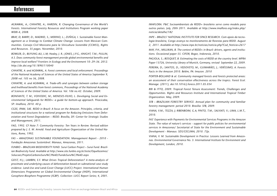# References

*AGRAWAL, A.; CHHATRE, A.; HARDIN, R. Changing Governance of the World's Forests. International Forestry Resources and Institutions Program working paper W08I-4, 2008.*

*BRAY, D; BARRY, D.; MADRID, S.; MERINO, L.; ZUÑIGA, I. Sustainable Forest Management as a Strategy to Combat Climate Change: Lessons from Mexican Communities. Consejo Civil Mexicano para la Silvicultura Sostenible (CCMSS), Rights and Resources. 35 pages. November, 2010.*

*BOWLER, D.; BUYUNG-ALI, L.M; Healey, J. R.; JONES, J.P.G.; KNIGHT, T.M.; PULLIN, A.S. Does community forest management provide global environmental benefits and improve local welfare? Frontiers in Ecology and the Environment 10: 29–36. 2012. http://dx.doi.org/10.1890/110040* 

*CHHATRE, A. and AGRAWAL, A. Forest commons and local enforcement. Proceedings of the National Academy of Sciences of the United States of America September 9, 2008 vol. 105 no 36, 2008.*

*CHHATRE, A. and AGRAWAL, A. Trade-offs and synergies between carbon storage and livelihood benefits from forest commons, Proceedings of the National Academy of Sciences of the United States of America. Vol. 106 no.42. October, 2009.*

*BONFANTE, T. M.; VOIVODIC, M.; MENESES-FILHO, L. Developing Social and Environmental Safeguards for REDD+: a guide for bottom-up approach. Piracicaba, SP: Imaflora, 2010. 40 p.*

*CGEE, IPAM, SAE. REDD in Brazil: A focus on the Amazon. Principles, criteria, and institutional structures for a national program for Reducing Emissions from Deforestation and Forest Degradation – REDD. Brasília, DF: Center for Strategic Studies and Management, 2011.*

*FAO, 1992. CF Note 7: Community Forestry: Ten Years in Review. Revised edition prepared by J. E. M. Arnold. Food and Agriculture Organization of the United Nations, Rome, 1992.*

*FAS – AMAZONAS SUSTAINABLE FOUNDATION. Management Report - 2010 - Fundação Amazonas Sustentável. Manaus, Amazonas, 2011.*

*FUNBIO – BRAZILIAN BIODIVERSITY FUND. Suruí Carbon Project – Suruí Fund. Brazilian Biodiversity Fund. Available at http://www.site.funbio.org.br/teste/Oquefazemos/ Solucoes/ProjetoCarbonoSuru%C3%AD/FundoSuru%C3%AD.aspx*

*GEIST, H.J.; LAMBIN, E.F. What Drives Tropical Deforestation? A meta-analysis of proximate and underlying causes of deforestation based on subnational case study evidence. Land-Use and Land-Cover Change (LUCC) Project. International Human Dimensions Programme on Global Environmental Change (IHDP), International Geosphere-Biosphere Programme (IGBP). Collection: LUCC Report Series; 4, 2001.*

*IMAFLORA. P&C Socioambientais de REDD+ brasileiro serve como modelo para outros países. July, 20th 2011. Available at http://www.imaflora.org/index.php/ noticia/detalhe/182*

*INPE – BRAZILS' NATIONAL INSTITUTE FOR SPACE RESEARCH. Com apoio da tecnologia brasileira, Congo avança no monitoramento de florestas para REDD. August 2, 2011. Available at http://www.inpe.br/noticias/noticia.php?Cod\_Noticia=2617*

*MAY, P.H., MILLIKAN, B. The context of REDD+ in Brazil: drivers, agents and institutions. Occasional paper 55. CIFOR, Bogor, Indonesia, 2010.* 

*PAGIOLA, S.; BOSQUET, B. Estimating the costs of REDD at the country level. MPRA Paper 13726, University Library of Munich, Germany, revised September 22, 2009. PEREIRA, D.; SANTOS, D.; VEDOVETO, M.; GUIMARÃES, J.; VERÍSSIMO, A. Forests Facts in the Amazon 2010. Belém, PA: Imazon. 2010*

*PORTER-BOLLAND & al. Community managed forests and forests protected areas: an assessment of their conservation effectiveness across the tropics. Forest Ecol. Manage. (2011), doi:10.1016/j.foreco.2011.05.034*

*RRI & ITTO, 2009. Tropical Forest Tenure Assessment: Trends, Challenges and Opportunities. Rights and Resources Institute and International Tropical Timber Organization. May, 2009.*

*SFB – BRAZILIAN FORESTRY SERVICE. Annual plan for community and familiar forestry management: period 2010. Brasília: SFB, 2009.*

*VIANA, V.M.; TEZZA, J; RIBENBOIM, G.A; PINTO, T.M.; SALVIATI, V.; LIMA, L.M.T., 2010.* 

*FAS' Experience with Payments for Environmental Services Programs in the Amazon State. The value of nature's services - support for public policies for environmental services in Amazonas/ Secretariat of State for the Environment and Sustainable Development - Manaus: SDS/CECLIMA, 2010. 72p.*

*VIANA, V. M. Sustainable Development in Practice: Lessons Learned from Amazonas. Environmental Governance No. 3. International Institute for Environment and Development, London, 2010.*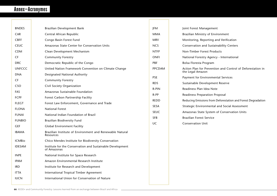# Annex—Acronymes

| <b>BNDES</b>                                           | Brazilian Development Bank                                                   | JFM                                                                  | Joint Forest Management                                      |
|--------------------------------------------------------|------------------------------------------------------------------------------|----------------------------------------------------------------------|--------------------------------------------------------------|
| CAR                                                    | Central African Republic                                                     | <b>MMA</b>                                                           | Brazilian Ministry of Environment                            |
| <b>CBFF</b>                                            | Congo Basin Forest Fund                                                      | <b>MRV</b>                                                           | Monitoring, Reporting and Verification                       |
| <b>CEUC</b>                                            | Amazonas State Center for Conservation Units                                 | <b>NCS</b>                                                           | Conservation and Sustainability Centers                      |
| <b>CDM</b>                                             | Clean Development Mechanism                                                  | <b>NTFP</b>                                                          | Non-Timber Forest Products                                   |
| CF                                                     | <b>Community Forestry</b>                                                    | <b>ONFI</b>                                                          | National Forestry Agency - International                     |
| <b>DRC</b>                                             | Democratic Republic of the Congo                                             |                                                                      | Bolsa Floresta Program                                       |
| <b>UNFCCC</b>                                          | United Nation Framework Convention on Climate Change                         | Action Plan for Prevention and Control of Deforestation in<br>PPCDAM |                                                              |
| <b>DNA</b>                                             | Designated National Authority                                                | <b>PSE</b>                                                           | the Legal Amazon                                             |
| CF                                                     | <b>Community Forestry</b>                                                    |                                                                      | Payment for Environmental Services                           |
| CSO                                                    | Civil Society Organization                                                   | <b>RDS</b>                                                           | Sustainable Development Reserve                              |
| FAS                                                    | Amazonas Sustainable Foundation                                              | R-PIN                                                                | Readiness Plan Idea Note                                     |
| <b>FCPF</b>                                            | Forest Carbon Partnership Facility                                           | R-PP                                                                 | <b>Readiness Preparation Proposal</b>                        |
| <b>FLEGT</b>                                           | Forest Law Enforcement, Governance and Trade                                 | <b>REDD</b>                                                          | Reducing Emissions from Deforestation and Forest Degradation |
| <b>FLONA</b>                                           | <b>National Forest</b>                                                       | SESA                                                                 | Strategic Environmental and Social Assessment                |
|                                                        |                                                                              | <b>SEUC</b>                                                          | Amazonas State System of Conservation Units                  |
| <b>FUNAI</b>                                           | National Indian Foundation of Brazil                                         | <b>SFB</b>                                                           | <b>Brazilian Forest Service</b>                              |
| <b>FUNBIO</b>                                          | Brazilian Biodiversity Fund                                                  | UC                                                                   | <b>Conservation Unit</b>                                     |
| <b>GEF</b>                                             | <b>Global Environment Facility</b>                                           |                                                                      |                                                              |
| <b>IBAMA</b>                                           | Brazilian Institute of Environment and Renewable Natural<br><b>Resources</b> |                                                                      |                                                              |
| <b>ICMBio</b>                                          | Chico Mendes Institute for Biodiversity Conservation                         |                                                                      |                                                              |
| <b>IDESAM</b>                                          | Institute for the Conservation and Sustainable Development<br>of Amazonas    |                                                                      |                                                              |
| <b>INPE</b>                                            | National Institute for Space Research                                        |                                                                      |                                                              |
| <b>IPAM</b>                                            | Amazon Environmental Research Institute                                      |                                                                      |                                                              |
| <b>IRD</b>                                             | Institute for Research and Development                                       |                                                                      |                                                              |
| <b>ITTA</b><br>International Tropical Timber Agreement |                                                                              |                                                                      |                                                              |
| <b>IUCN</b>                                            | International Union for Conservation of Nature                               |                                                                      |                                                              |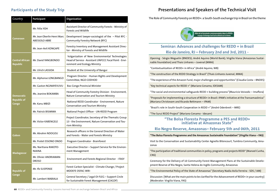### **Participants of the Study Trip**

| Country                                   | Participant                                         | Organization                                                                                                                              |  |  |
|-------------------------------------------|-----------------------------------------------------|-------------------------------------------------------------------------------------------------------------------------------------------|--|--|
|                                           | Mr. Félix YOH                                       | Assistant Director of Community Forests - Ministry of<br>Forests and Wildlife                                                             |  |  |
| Cameroon                                  | Mr. Jean Oberlin Henri Marc<br><b>ABESSOLO ABBE</b> | Development lawyer-sociologist of the - Pilot RFC -<br>Community Forestry Network (RFC)                                                   |  |  |
|                                           | Mr. Jean-Avit KONGAPE                               | Forestry Inventory and Management Assistant Direc-<br>tor - Ministry of Forests and Wildlife                                              |  |  |
| <b>Central African</b><br><b>Republic</b> | Mr. David YANGBONDO                                 | Vulgarization of New Environmental Technologies<br>Head of Service - Assistant UNFCCC Focal Point - Envi-<br>ronment and Ecology Ministry |  |  |
|                                           | Mr. Ulrich LASSIDA                                  | Student at the University of Bangui                                                                                                       |  |  |
|                                           | Mr. Alphonse LONGBANGO                              | Program Director - Human Rights and Development<br>Committee, NGO CODHOD                                                                  |  |  |
|                                           | Mr. Gaston NGINAYEVUVU                              | Bas-Congo Provincial Minister                                                                                                             |  |  |
| <b>Democratic</b>                         | Ms. Jeanine BOKAMBA                                 | Head of Community Forestry Division - Environment,<br>Nature Conservation and Tourism Ministry                                            |  |  |
| <b>Republic of</b><br>Congo               | Mr. Kanu MBIZI                                      | National REDD Coordinator - Environment, Nature<br><b>Conservation and Tourism Ministry</b>                                               |  |  |
|                                           | Mr. Patrick BISIMWA                                 | National Project Officer - UN-REDD Program                                                                                                |  |  |
|                                           | Mr. Victor KABENGELE                                | Project Coordinator, Secretary of the Thematic Group<br>13 - the Environment, Nature Conservation and Tou-<br>rism Ministry               |  |  |
| Gabon                                     | Mr. Abrahm NDOGOU                                   | Research officers in the General Direction of Water<br>and Forests - Water and Forests Ministry                                           |  |  |
|                                           | Mr. Protet ESSONO ONDO                              | Program Coordinator - Brainforest                                                                                                         |  |  |
|                                           | Ms. Naritiana RAKOTO-<br><b>NIAINA</b>              | Executive Director - Support Service for the Environ-<br>ment Management                                                                  |  |  |
| Madagascar                                | Mr. Olivier ANDRIAMAN-<br><b>DROSO</b>              | Environment and Forests Regional Director - ITASY                                                                                         |  |  |
| <b>Republic of</b>                        | Mr. Ifo SUSPENSE                                    | Forest Carbon Specialist - Climate Change / Project<br><b>MDDEFE OSFAC-WRI-</b>                                                           |  |  |
| Congo                                     | Mr. Lambert MABIALA                                 | General Secretary / Legal OI-FLEG - Support Circle<br>for Sustainable Forest Management (CAGDF)                                           |  |  |

## **Presentations and Speakers of the Technical Visit**

The Role of Community Forestry on REDD+: a South-South exchange trip in Brazil on the theme



### **Seminar: Advances and challenges for REDD + in Brazil Rio de Janeiro, RJ – February 2nd and 3rd, 2011 -**

Opening - Sérgio Weguelin (BNDES); André Aquino (World Bank); Virgilio Viana (Amazonas Sustainable Foundation) and Thais Linhares – Juvenal (MMA)

"Contextualization of REDD+ in Africa" (André Aquino, WB)

"The construction of the REDD Strategy in Brazil" (Thais Linhares-Juvenal, MMA)

"The experience of the Amazon Fund, major challenges and opportunities" (Claudia Costa – BNDES)

"Key technical aspects for REDD +" (Mariano Cenamo, IDESAM)

"The social and environmental safeguards REDD + building process"(Mauricio Voivodic – Imaflora)

"Proposals for implementing a structure of REDD+ in Brazil: IPAM's initiative at the Transamazônica" (Mariana Christovam and Ricardo Rettmann – IPAM)

"Brazil's role in South-South Cooperation in REDD +" (André Odenbreit – MRE)

"The Suruí REDD Project" (Mariano Cenamo - Idesam)

#### **"The Bolsa Floresta Programme a PES and REDD+ initiative at Amazonas State"**

#### **Rio Negro Reserve, Amazonas– February 5th and 06th, 2011**

**"The Bolsa Floresta Programme and the Amazonas Sustainable Foundation" (Virgilio Viana – FAS)**

Visit to the Conservation and Sustainability Center Agnello Bitencourt, Tumbira Community, Amazonas

"The participation of traditional communities in policy, programs and projects REDD" (Manoel Cunha, CNS)

Ceremony for the Delivery of 10 Community Forest Management Plans at the Sustainable Development Reserve of Rio Negro, Santa Helena do Inglês Community, Amazonas

"The Environmental Policy of the State of Amazonas" (Secretary Nadia Avila Ferreira - SDS / AM)

Discussion: [What are the main points to be clarified for the Advancement of REDD+ in your country] (Moderator: Virgilio Viana, FAS)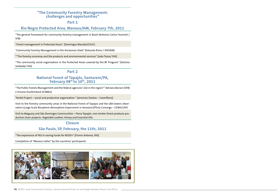#### **"The Community Forestry Management: challenges and opportunities"**

**Part 1**

#### **Rio Negro Protected Area, Manaus/AM, February 7th, 2011**

"The general framework for community forestry management in Brazil (Antonio Carlos Hummel / SFB)

"Forest management in Protected Areas". (Domingos Macedo/CEUC)

"Community Forestry Management in the Amazonas State" (Eduardo Rizzo / IDESAM)

""The forestry economy and the products and environmental services" (João Tezza/ FAS)

"The community social organization in the Protected Areas covered by the BF Program" (Valcleia Solidade/ FAS)

#### **Part 2**

#### **National Forest of Tapajós, Santarem/PA, February 08th to 10th, 2011**

"The Public Forests Management and the federal agencies' role in the region"" Adriana Bariani (SFB) e Viviane Daufemback (ICMBio)

"Ambé Project – social and productive organization " (Jeremais Dantas – Coomflona)

Visit to the forestry community areas in the National Forest of Tapajos and the LBA towers observation (Large-Scale Biosphere-Atmosphere Experiment in Amazon) (Plinio Camargo – CENA/USP)

Visit to Maguary and São Domingos Communities – Flona Tapajós: non-timber forest products productive chain projects: Vegetable Leather, Honey and Essential Oils

#### **Closure**

### **São Paulo, SP, February, the 11th, 2011**

"The experience of FAS in raising funds for REDD+" (Firmin Antonio, FAS)

Completion of "Manaus Letter" by the countries' participants